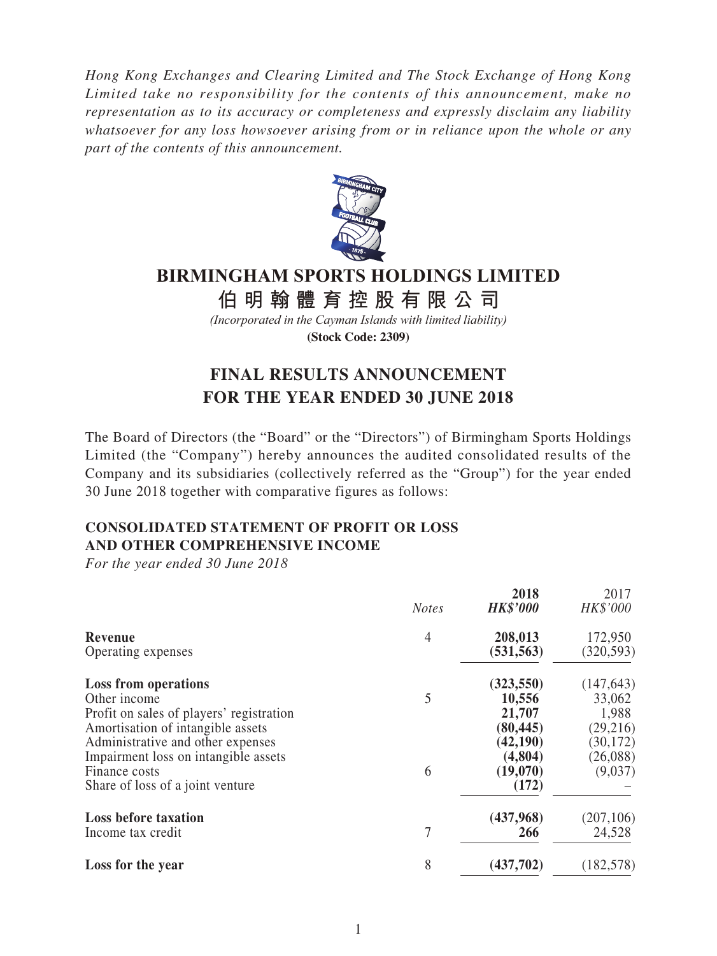*Hong Kong Exchanges and Clearing Limited and The Stock Exchange of Hong Kong Limited take no responsibility for the contents of this announcement, make no representation as to its accuracy or completeness and expressly disclaim any liability whatsoever for any loss howsoever arising from or in reliance upon the whole or any part of the contents of this announcement.*



# **BIRMINGHAM SPORTS HOLDINGS LIMITED**

**伯明翰體育控股有限公 司**

*(Incorporated in the Cayman Islands with limited liability)* **(Stock Code: 2309)**

# **FINAL RESULTS ANNOUNCEMENT FOR THE YEAR ENDED 30 JUNE 2018**

The Board of Directors (the "Board" or the "Directors") of Birmingham Sports Holdings Limited (the "Company") hereby announces the audited consolidated results of the Company and its subsidiaries (collectively referred as the "Group") for the year ended 30 June 2018 together with comparative figures as follows:

## **CONSOLIDATED STATEMENT OF PROFIT OR LOSS AND OTHER COMPREHENSIVE INCOME**

*For the year ended 30 June 2018*

|                                          | <b>Notes</b>   | 2018<br><b>HK\$'000</b> | 2017<br>HK\$'000 |
|------------------------------------------|----------------|-------------------------|------------------|
| Revenue                                  | $\overline{4}$ | 208,013                 | 172,950          |
| Operating expenses                       |                | (531, 563)              | (320, 593)       |
| <b>Loss from operations</b>              |                | (323, 550)              | (147, 643)       |
| Other income                             | 5              | 10,556                  | 33,062           |
| Profit on sales of players' registration |                | 21,707                  | 1,988            |
| Amortisation of intangible assets        |                | (80, 445)               | (29,216)         |
| Administrative and other expenses        |                | (42, 190)               | (30, 172)        |
| Impairment loss on intangible assets     |                | (4,804)                 | (26,088)         |
| Finance costs                            | 6              | (19,070)                | (9,037)          |
| Share of loss of a joint venture         |                | (172)                   |                  |
| <b>Loss before taxation</b>              |                | (437,968)               | (207, 106)       |
| Income tax credit                        | 7              | 266                     | 24,528           |
| Loss for the year                        | 8              | (437,702)               | (182, 578)       |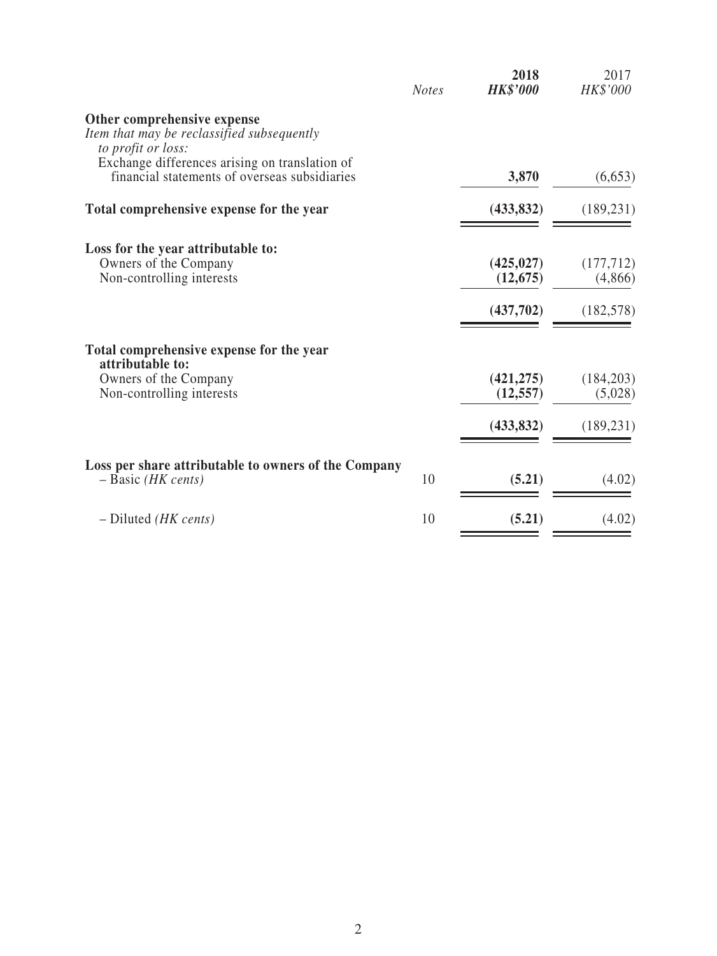|                                                                                                                                                   | <b>Notes</b> | 2018<br><b>HK\$'000</b> | 2017<br>HK\$'000      |
|---------------------------------------------------------------------------------------------------------------------------------------------------|--------------|-------------------------|-----------------------|
| Other comprehensive expense<br>Item that may be reclassified subsequently<br>to profit or loss:<br>Exchange differences arising on translation of |              |                         |                       |
| financial statements of overseas subsidiaries                                                                                                     |              | 3,870                   | (6,653)               |
| Total comprehensive expense for the year                                                                                                          |              | (433, 832)              | (189, 231)            |
| Loss for the year attributable to:<br>Owners of the Company<br>Non-controlling interests                                                          |              | (425, 027)<br>(12, 675) | (177, 712)<br>(4,866) |
|                                                                                                                                                   |              | (437,702)               | (182, 578)            |
| Total comprehensive expense for the year<br>attributable to:                                                                                      |              |                         |                       |
| Owners of the Company<br>Non-controlling interests                                                                                                |              | (421, 275)<br>(12, 557) | (184, 203)<br>(5,028) |
|                                                                                                                                                   |              | (433, 832)              | (189, 231)            |
| Loss per share attributable to owners of the Company<br>$-$ Basic (HK cents)                                                                      | 10           | (5.21)                  | (4.02)                |
| $-$ Diluted <i>(HK cents)</i>                                                                                                                     | 10           | (5.21)                  | (4.02)                |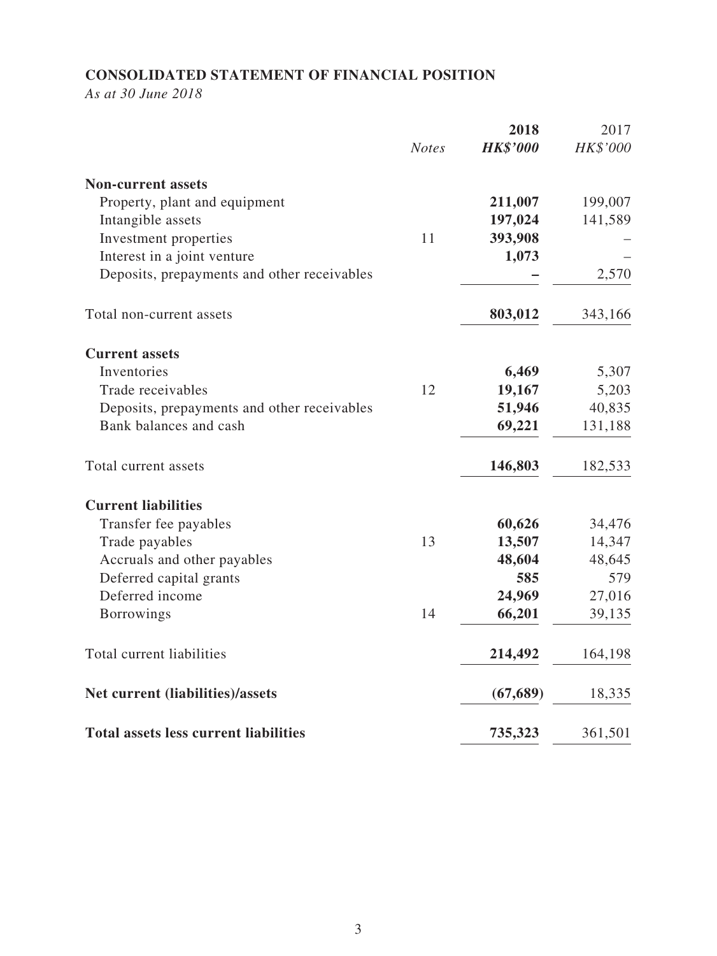## **CONSOLIDATED STATEMENT OF FINANCIAL POSITION**

*As at 30 June 2018*

|                                              | <b>Notes</b> | 2018<br><b>HK\$'000</b> | 2017<br>HK\$'000 |
|----------------------------------------------|--------------|-------------------------|------------------|
| <b>Non-current assets</b>                    |              |                         |                  |
| Property, plant and equipment                |              | 211,007                 | 199,007          |
| Intangible assets                            |              | 197,024                 | 141,589          |
| Investment properties                        | 11           | 393,908                 |                  |
| Interest in a joint venture                  |              | 1,073                   |                  |
| Deposits, prepayments and other receivables  |              |                         | 2,570            |
| Total non-current assets                     |              | 803,012                 | 343,166          |
| <b>Current assets</b>                        |              |                         |                  |
| Inventories                                  |              | 6,469                   | 5,307            |
| Trade receivables                            | 12           | 19,167                  | 5,203            |
| Deposits, prepayments and other receivables  |              | 51,946                  | 40,835           |
| Bank balances and cash                       |              | 69,221                  | 131,188          |
| Total current assets                         |              | 146,803                 | 182,533          |
| <b>Current liabilities</b>                   |              |                         |                  |
| Transfer fee payables                        |              | 60,626                  | 34,476           |
| Trade payables                               | 13           | 13,507                  | 14,347           |
| Accruals and other payables                  |              | 48,604                  | 48,645           |
| Deferred capital grants                      |              | 585                     | 579              |
| Deferred income                              |              | 24,969                  | 27,016           |
| <b>Borrowings</b>                            | 14           | 66,201                  | 39,135           |
| Total current liabilities                    |              | 214,492                 | 164,198          |
| Net current (liabilities)/assets             |              | (67, 689)               | 18,335           |
| <b>Total assets less current liabilities</b> |              | 735,323                 | 361,501          |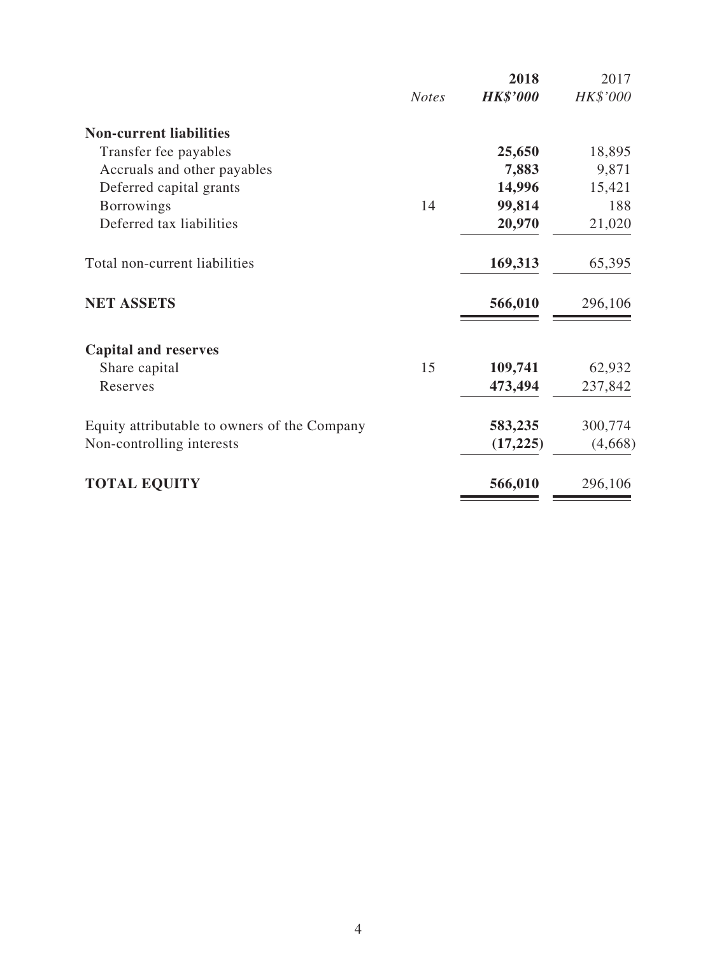|              | 2018            | 2017     |
|--------------|-----------------|----------|
| <b>Notes</b> | <b>HK\$'000</b> | HK\$'000 |
|              |                 |          |
|              | 25,650          | 18,895   |
|              | 7,883           | 9,871    |
|              | 14,996          | 15,421   |
| 14           | 99,814          | 188      |
|              | 20,970          | 21,020   |
|              | 169,313         | 65,395   |
|              | 566,010         | 296,106  |
|              |                 |          |
| 15           | 109,741         | 62,932   |
|              | 473,494         | 237,842  |
|              | 583,235         | 300,774  |
|              | (17,225)        | (4,668)  |
|              | 566,010         | 296,106  |
|              |                 |          |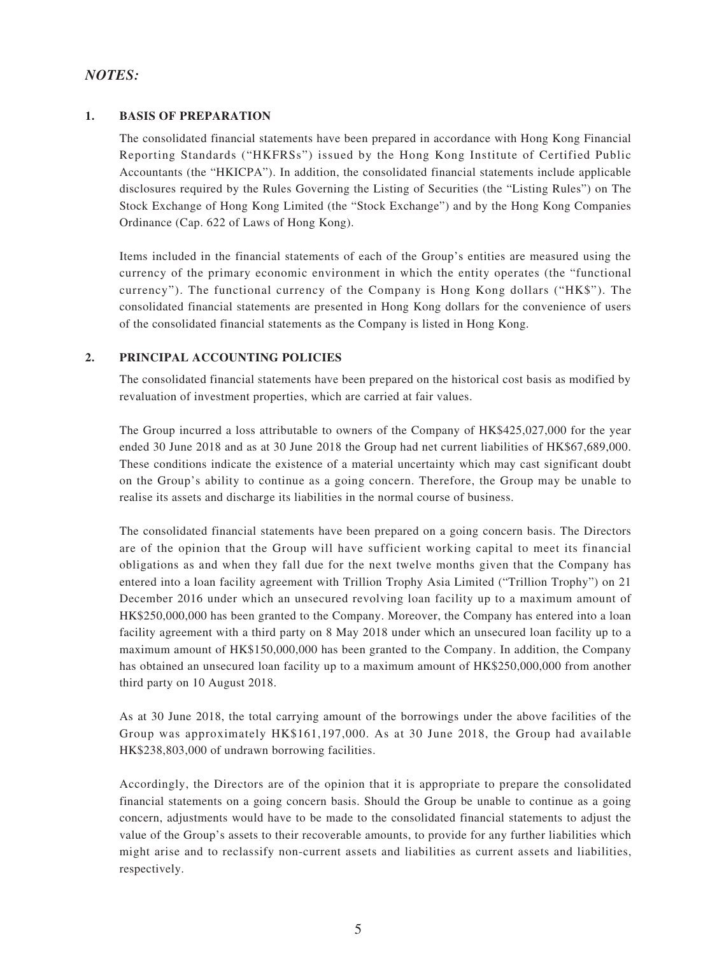### *NOTES:*

### **1. BASIS OF PREPARATION**

The consolidated financial statements have been prepared in accordance with Hong Kong Financial Reporting Standards ("HKFRSs") issued by the Hong Kong Institute of Certified Public Accountants (the "HKICPA"). In addition, the consolidated financial statements include applicable disclosures required by the Rules Governing the Listing of Securities (the "Listing Rules") on The Stock Exchange of Hong Kong Limited (the "Stock Exchange") and by the Hong Kong Companies Ordinance (Cap. 622 of Laws of Hong Kong).

Items included in the financial statements of each of the Group's entities are measured using the currency of the primary economic environment in which the entity operates (the "functional currency"). The functional currency of the Company is Hong Kong dollars ("HK\$"). The consolidated financial statements are presented in Hong Kong dollars for the convenience of users of the consolidated financial statements as the Company is listed in Hong Kong.

### **2. PRINCIPAL ACCOUNTING POLICIES**

The consolidated financial statements have been prepared on the historical cost basis as modified by revaluation of investment properties, which are carried at fair values.

The Group incurred a loss attributable to owners of the Company of HK\$425,027,000 for the year ended 30 June 2018 and as at 30 June 2018 the Group had net current liabilities of HK\$67,689,000. These conditions indicate the existence of a material uncertainty which may cast significant doubt on the Group's ability to continue as a going concern. Therefore, the Group may be unable to realise its assets and discharge its liabilities in the normal course of business.

The consolidated financial statements have been prepared on a going concern basis. The Directors are of the opinion that the Group will have sufficient working capital to meet its financial obligations as and when they fall due for the next twelve months given that the Company has entered into a loan facility agreement with Trillion Trophy Asia Limited ("Trillion Trophy") on 21 December 2016 under which an unsecured revolving loan facility up to a maximum amount of HK\$250,000,000 has been granted to the Company. Moreover, the Company has entered into a loan facility agreement with a third party on 8 May 2018 under which an unsecured loan facility up to a maximum amount of HK\$150,000,000 has been granted to the Company. In addition, the Company has obtained an unsecured loan facility up to a maximum amount of HK\$250,000,000 from another third party on 10 August 2018.

As at 30 June 2018, the total carrying amount of the borrowings under the above facilities of the Group was approximately HK\$161,197,000. As at 30 June 2018, the Group had available HK\$238,803,000 of undrawn borrowing facilities.

Accordingly, the Directors are of the opinion that it is appropriate to prepare the consolidated financial statements on a going concern basis. Should the Group be unable to continue as a going concern, adjustments would have to be made to the consolidated financial statements to adjust the value of the Group's assets to their recoverable amounts, to provide for any further liabilities which might arise and to reclassify non-current assets and liabilities as current assets and liabilities, respectively.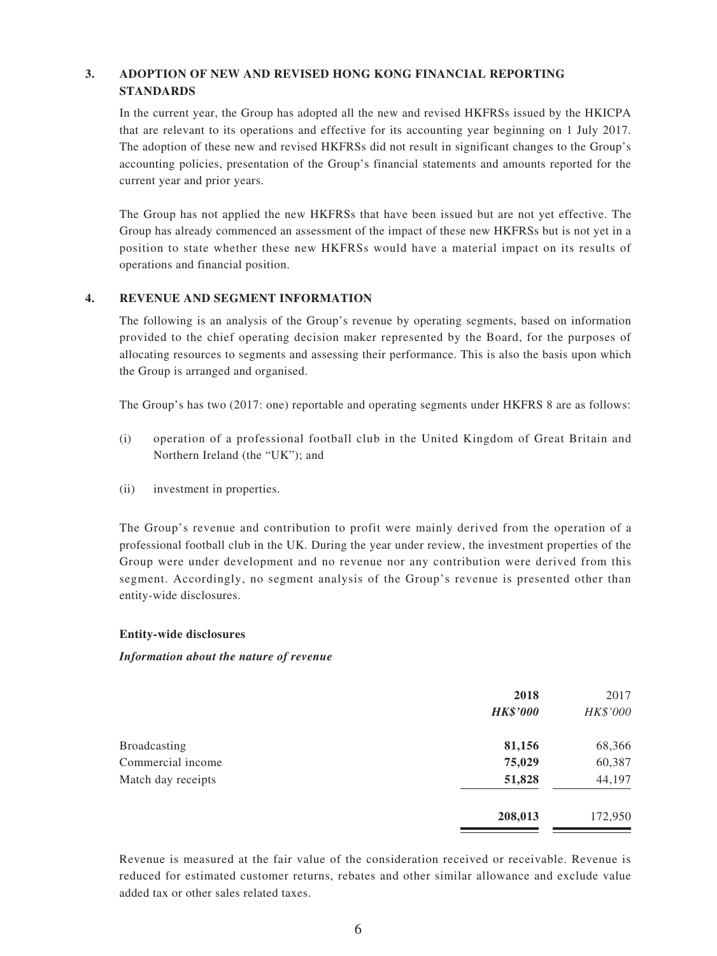### **3. ADOPTION OF NEW AND REVISED HONG KONG FINANCIAL REPORTING STANDARDS**

In the current year, the Group has adopted all the new and revised HKFRSs issued by the HKICPA that are relevant to its operations and effective for its accounting year beginning on 1 July 2017. The adoption of these new and revised HKFRSs did not result in significant changes to the Group's accounting policies, presentation of the Group's financial statements and amounts reported for the current year and prior years.

The Group has not applied the new HKFRSs that have been issued but are not yet effective. The Group has already commenced an assessment of the impact of these new HKFRSs but is not yet in a position to state whether these new HKFRSs would have a material impact on its results of operations and financial position.

### **4. REVENUE AND SEGMENT INFORMATION**

The following is an analysis of the Group's revenue by operating segments, based on information provided to the chief operating decision maker represented by the Board, for the purposes of allocating resources to segments and assessing their performance. This is also the basis upon which the Group is arranged and organised.

The Group's has two (2017: one) reportable and operating segments under HKFRS 8 are as follows:

- (i) operation of a professional football club in the United Kingdom of Great Britain and Northern Ireland (the "UK"); and
- (ii) investment in properties.

The Group's revenue and contribution to profit were mainly derived from the operation of a professional football club in the UK. During the year under review, the investment properties of the Group were under development and no revenue nor any contribution were derived from this segment. Accordingly, no segment analysis of the Group's revenue is presented other than entity-wide disclosures.

#### **Entity-wide disclosures**

#### *Information about the nature of revenue*

|                    | 2018<br><b>HK\$'000</b> | 2017<br>HK\$'000 |
|--------------------|-------------------------|------------------|
| Broadcasting       | 81,156                  | 68,366           |
| Commercial income  | 75,029                  | 60,387           |
| Match day receipts | 51,828                  | 44,197           |
|                    | 208,013                 | 172,950          |

Revenue is measured at the fair value of the consideration received or receivable. Revenue is reduced for estimated customer returns, rebates and other similar allowance and exclude value added tax or other sales related taxes.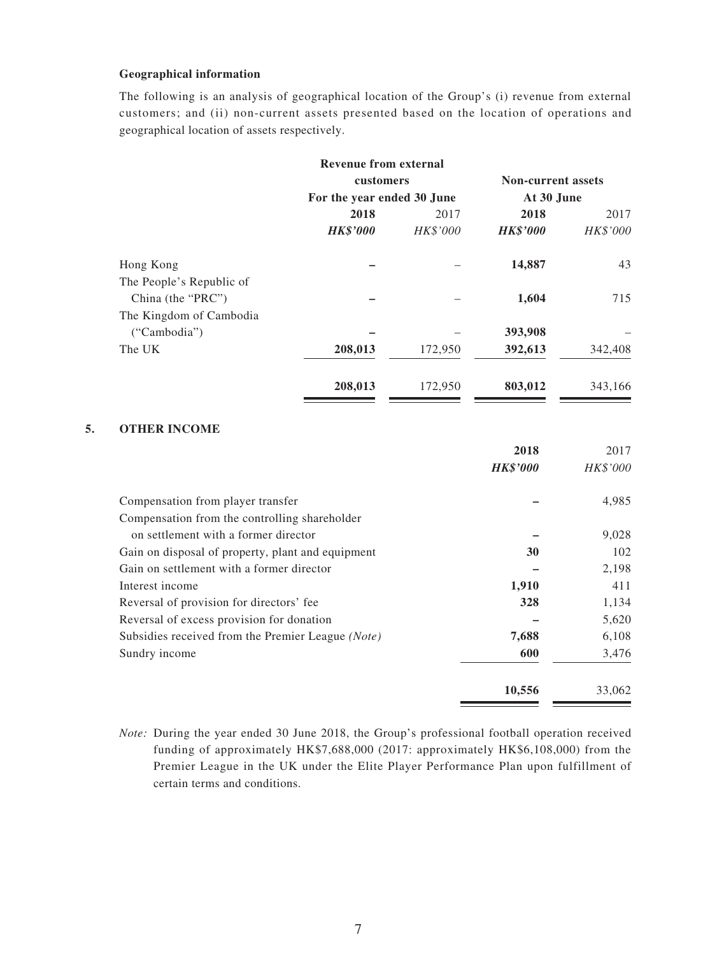#### **Geographical information**

The following is an analysis of geographical location of the Group's (i) revenue from external customers; and (ii) non-current assets presented based on the location of operations and geographical location of assets respectively.

|                          | Revenue from external      |          |                           |          |
|--------------------------|----------------------------|----------|---------------------------|----------|
|                          | customers                  |          | <b>Non-current assets</b> |          |
|                          | For the year ended 30 June |          | At 30 June                |          |
|                          | 2018                       | 2017     | 2018                      | 2017     |
|                          | <b>HK\$'000</b>            | HK\$'000 | <b>HK\$'000</b>           | HK\$'000 |
| Hong Kong                |                            |          | 14,887                    | 43       |
| The People's Republic of |                            |          |                           |          |
| China (the "PRC")        |                            |          | 1,604                     | 715      |
| The Kingdom of Cambodia  |                            |          |                           |          |
| ("Cambodia")             |                            |          | 393,908                   |          |
| The UK                   | 208,013                    | 172,950  | 392,613                   | 342,408  |
|                          | 208,013                    | 172,950  | 803,012                   | 343,166  |
|                          |                            |          |                           |          |

### **5. OTHER INCOME**

|                                                   | 2018            | 2017     |
|---------------------------------------------------|-----------------|----------|
|                                                   | <b>HK\$'000</b> | HK\$'000 |
| Compensation from player transfer                 |                 | 4,985    |
| Compensation from the controlling shareholder     |                 |          |
| on settlement with a former director              |                 | 9,028    |
| Gain on disposal of property, plant and equipment | 30              | 102      |
| Gain on settlement with a former director         |                 | 2,198    |
| Interest income                                   | 1,910           | 411      |
| Reversal of provision for directors' fee          | 328             | 1,134    |
| Reversal of excess provision for donation         |                 | 5,620    |
| Subsidies received from the Premier League (Note) | 7,688           | 6,108    |
| Sundry income                                     | 600             | 3,476    |
|                                                   | 10,556          | 33,062   |

*Note:* During the year ended 30 June 2018, the Group's professional football operation received funding of approximately HK\$7,688,000 (2017: approximately HK\$6,108,000) from the Premier League in the UK under the Elite Player Performance Plan upon fulfillment of certain terms and conditions.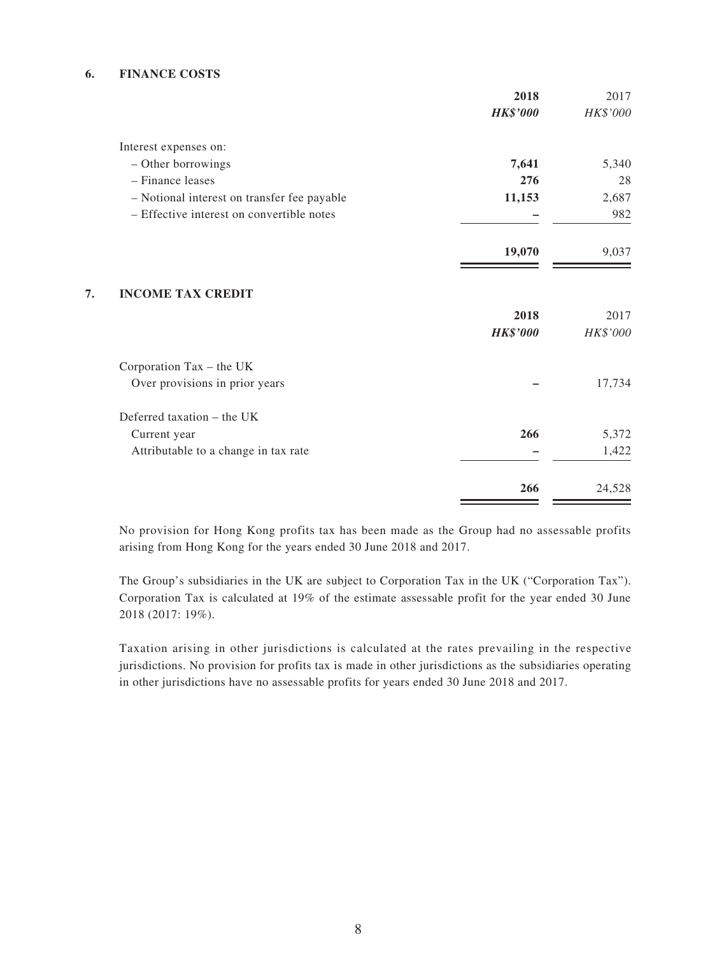#### **6. FINANCE COSTS**

|                                             | 2018            | 2017     |
|---------------------------------------------|-----------------|----------|
|                                             | <b>HK\$'000</b> | HK\$'000 |
| Interest expenses on:                       |                 |          |
| - Other borrowings                          | 7,641           | 5,340    |
| - Finance leases                            | 276             | 28       |
| - Notional interest on transfer fee payable | 11,153          | 2,687    |
| - Effective interest on convertible notes   |                 | 982      |
|                                             | 19,070          | 9,037    |
| <b>INCOME TAX CREDIT</b>                    |                 |          |
|                                             | 2018            | 2017     |
|                                             | <b>HK\$'000</b> | HK\$'000 |
| Corporation Tax - the UK                    |                 |          |
| Over provisions in prior years              |                 | 17,734   |
| Deferred taxation - the UK                  |                 |          |
| Current year                                | 266             | 5,372    |
| Attributable to a change in tax rate        |                 | 1,422    |
|                                             | 266             | 24,528   |

No provision for Hong Kong profits tax has been made as the Group had no assessable profits arising from Hong Kong for the years ended 30 June 2018 and 2017.

The Group's subsidiaries in the UK are subject to Corporation Tax in the UK ("Corporation Tax"). Corporation Tax is calculated at 19% of the estimate assessable profit for the year ended 30 June 2018 (2017: 19%).

Taxation arising in other jurisdictions is calculated at the rates prevailing in the respective jurisdictions. No provision for profits tax is made in other jurisdictions as the subsidiaries operating in other jurisdictions have no assessable profits for years ended 30 June 2018 and 2017.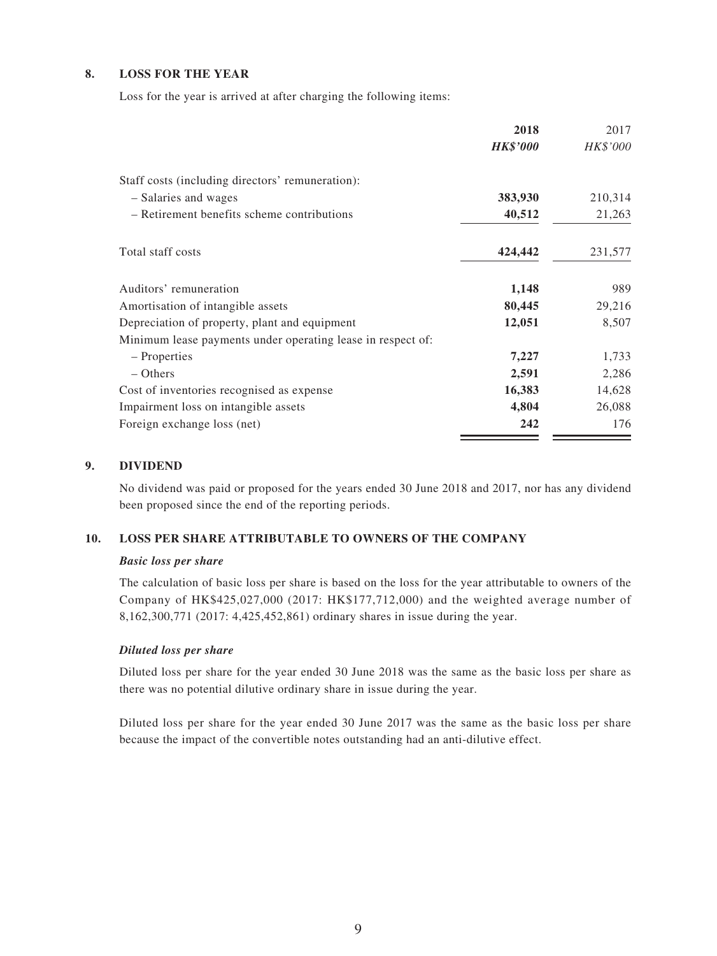### **8. LOSS FOR THE YEAR**

Loss for the year is arrived at after charging the following items:

|                                                             | 2018            | 2017     |
|-------------------------------------------------------------|-----------------|----------|
|                                                             | <b>HK\$'000</b> | HK\$'000 |
| Staff costs (including directors' remuneration):            |                 |          |
| - Salaries and wages                                        | 383,930         | 210,314  |
| - Retirement benefits scheme contributions                  | 40,512          | 21,263   |
| Total staff costs                                           | 424,442         | 231,577  |
| Auditors' remuneration                                      | 1,148           | 989      |
| Amortisation of intangible assets                           | 80,445          | 29,216   |
| Depreciation of property, plant and equipment               | 12,051          | 8,507    |
| Minimum lease payments under operating lease in respect of: |                 |          |
| – Properties                                                | 7,227           | 1,733    |
| $-$ Others                                                  | 2,591           | 2,286    |
| Cost of inventories recognised as expense                   | 16,383          | 14,628   |
| Impairment loss on intangible assets                        | 4,804           | 26,088   |
| Foreign exchange loss (net)                                 | 242             | 176      |

#### **9. DIVIDEND**

No dividend was paid or proposed for the years ended 30 June 2018 and 2017, nor has any dividend been proposed since the end of the reporting periods.

#### **10. LOSS PER SHARE ATTRIBUTABLE TO OWNERS OF THE COMPANY**

#### *Basic loss per share*

The calculation of basic loss per share is based on the loss for the year attributable to owners of the Company of HK\$425,027,000 (2017: HK\$177,712,000) and the weighted average number of 8,162,300,771 (2017: 4,425,452,861) ordinary shares in issue during the year.

#### *Diluted loss per share*

Diluted loss per share for the year ended 30 June 2018 was the same as the basic loss per share as there was no potential dilutive ordinary share in issue during the year.

Diluted loss per share for the year ended 30 June 2017 was the same as the basic loss per share because the impact of the convertible notes outstanding had an anti-dilutive effect.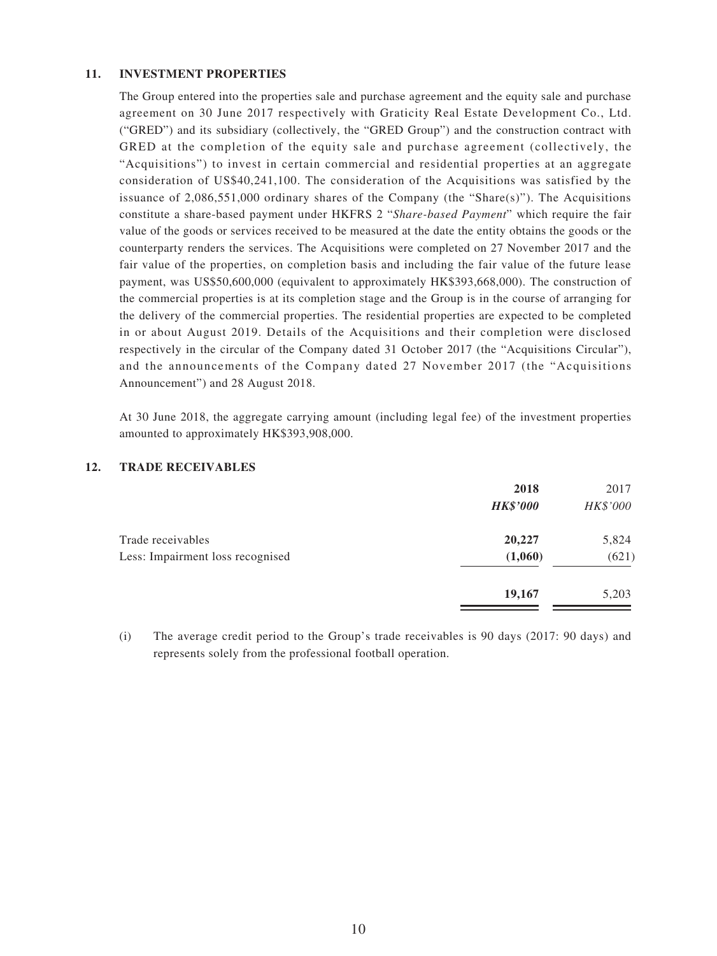#### **11. INVESTMENT PROPERTIES**

The Group entered into the properties sale and purchase agreement and the equity sale and purchase agreement on 30 June 2017 respectively with Graticity Real Estate Development Co., Ltd. ("GRED") and its subsidiary (collectively, the "GRED Group") and the construction contract with GRED at the completion of the equity sale and purchase agreement (collectively, the "Acquisitions") to invest in certain commercial and residential properties at an aggregate consideration of US\$40,241,100. The consideration of the Acquisitions was satisfied by the issuance of 2,086,551,000 ordinary shares of the Company (the "Share(s)"). The Acquisitions constitute a share-based payment under HKFRS 2 "*Share-based Payment*" which require the fair value of the goods or services received to be measured at the date the entity obtains the goods or the counterparty renders the services. The Acquisitions were completed on 27 November 2017 and the fair value of the properties, on completion basis and including the fair value of the future lease payment, was US\$50,600,000 (equivalent to approximately HK\$393,668,000). The construction of the commercial properties is at its completion stage and the Group is in the course of arranging for the delivery of the commercial properties. The residential properties are expected to be completed in or about August 2019. Details of the Acquisitions and their completion were disclosed respectively in the circular of the Company dated 31 October 2017 (the "Acquisitions Circular"), and the announcements of the Company dated 27 November 2017 (the "Acquisitions Announcement") and 28 August 2018.

At 30 June 2018, the aggregate carrying amount (including legal fee) of the investment properties amounted to approximately HK\$393,908,000.

### **12. TRADE RECEIVABLES**

|                                  | 2018            | 2017     |
|----------------------------------|-----------------|----------|
|                                  | <b>HK\$'000</b> | HK\$'000 |
| Trade receivables                | 20,227          | 5,824    |
| Less: Impairment loss recognised | (1,060)         | (621)    |
|                                  | 19,167          | 5,203    |
|                                  |                 |          |

(i) The average credit period to the Group's trade receivables is 90 days (2017: 90 days) and represents solely from the professional football operation.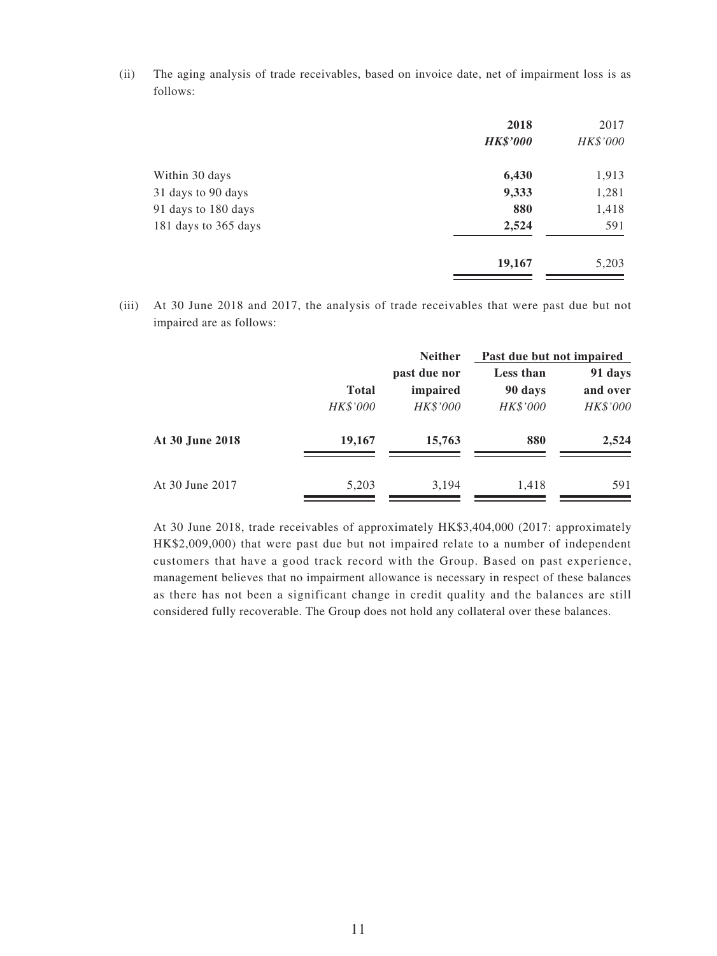(ii) The aging analysis of trade receivables, based on invoice date, net of impairment loss is as follows:

|                      | 2018            | 2017     |
|----------------------|-----------------|----------|
|                      | <b>HK\$'000</b> | HK\$'000 |
| Within 30 days       | 6,430           | 1,913    |
| 31 days to 90 days   | 9,333           | 1,281    |
| 91 days to 180 days  | 880             | 1,418    |
| 181 days to 365 days | 2,524           | 591      |
|                      | 19,167          | 5,203    |

(iii) At 30 June 2018 and 2017, the analysis of trade receivables that were past due but not impaired are as follows:

|                 |              | <b>Neither</b>           | Past due but not impaired |                     |
|-----------------|--------------|--------------------------|---------------------------|---------------------|
|                 | <b>Total</b> | past due nor<br>impaired | Less than<br>90 days      | 91 days<br>and over |
|                 | HK\$'000     | HK\$'000                 | HK\$'000                  | HK\$'000            |
| At 30 June 2018 | 19,167       | 15,763                   | 880                       | 2,524               |
| At 30 June 2017 | 5,203        | 3,194                    | 1,418                     | 591                 |

At 30 June 2018, trade receivables of approximately HK\$3,404,000 (2017: approximately HK\$2,009,000) that were past due but not impaired relate to a number of independent customers that have a good track record with the Group. Based on past experience, management believes that no impairment allowance is necessary in respect of these balances as there has not been a significant change in credit quality and the balances are still considered fully recoverable. The Group does not hold any collateral over these balances.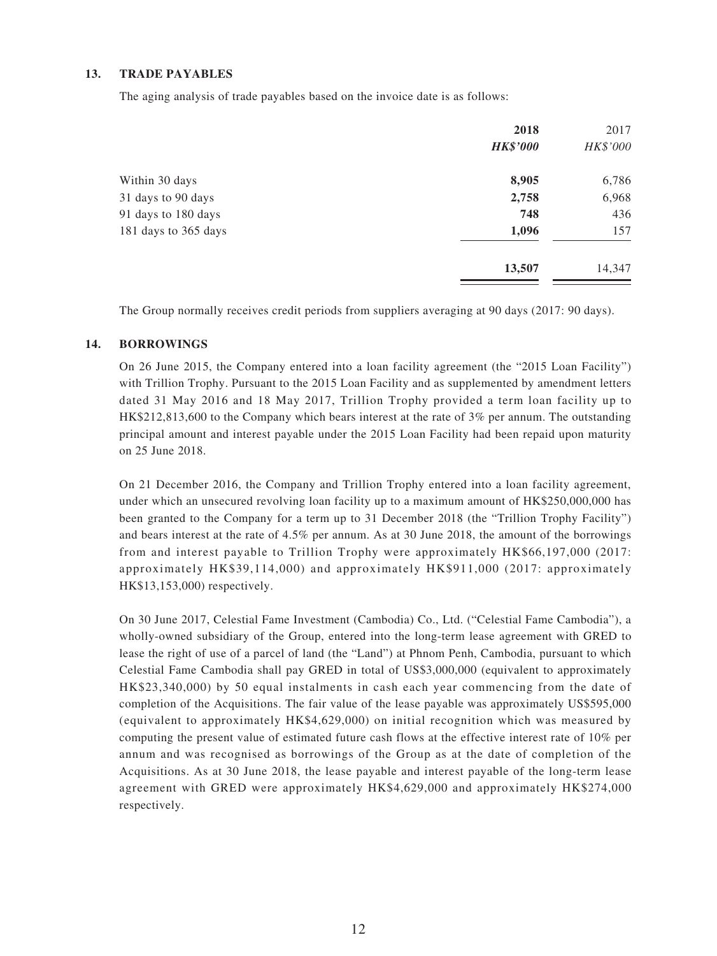#### **13. TRADE PAYABLES**

The aging analysis of trade payables based on the invoice date is as follows:

|                      | 2018<br><b>HK\$'000</b> | 2017<br>HK\$'000 |
|----------------------|-------------------------|------------------|
| Within 30 days       | 8,905                   | 6,786            |
| 31 days to 90 days   | 2,758                   | 6,968            |
| 91 days to 180 days  | 748                     | 436              |
| 181 days to 365 days | 1,096                   | 157              |
|                      | 13,507                  | 14,347           |

The Group normally receives credit periods from suppliers averaging at 90 days (2017: 90 days).

#### **14. BORROWINGS**

On 26 June 2015, the Company entered into a loan facility agreement (the "2015 Loan Facility") with Trillion Trophy. Pursuant to the 2015 Loan Facility and as supplemented by amendment letters dated 31 May 2016 and 18 May 2017, Trillion Trophy provided a term loan facility up to HK\$212,813,600 to the Company which bears interest at the rate of 3% per annum. The outstanding principal amount and interest payable under the 2015 Loan Facility had been repaid upon maturity on 25 June 2018.

On 21 December 2016, the Company and Trillion Trophy entered into a loan facility agreement, under which an unsecured revolving loan facility up to a maximum amount of HK\$250,000,000 has been granted to the Company for a term up to 31 December 2018 (the "Trillion Trophy Facility") and bears interest at the rate of 4.5% per annum. As at 30 June 2018, the amount of the borrowings from and interest payable to Trillion Trophy were approximately HK\$66,197,000 (2017: approximately HK\$39,114,000) and approximately HK\$911,000 (2017: approximately HK\$13,153,000) respectively.

On 30 June 2017, Celestial Fame Investment (Cambodia) Co., Ltd. ("Celestial Fame Cambodia"), a wholly-owned subsidiary of the Group, entered into the long-term lease agreement with GRED to lease the right of use of a parcel of land (the "Land") at Phnom Penh, Cambodia, pursuant to which Celestial Fame Cambodia shall pay GRED in total of US\$3,000,000 (equivalent to approximately HK\$23,340,000) by 50 equal instalments in cash each year commencing from the date of completion of the Acquisitions. The fair value of the lease payable was approximately US\$595,000 (equivalent to approximately HK\$4,629,000) on initial recognition which was measured by computing the present value of estimated future cash flows at the effective interest rate of 10% per annum and was recognised as borrowings of the Group as at the date of completion of the Acquisitions. As at 30 June 2018, the lease payable and interest payable of the long-term lease agreement with GRED were approximately HK\$4,629,000 and approximately HK\$274,000 respectively.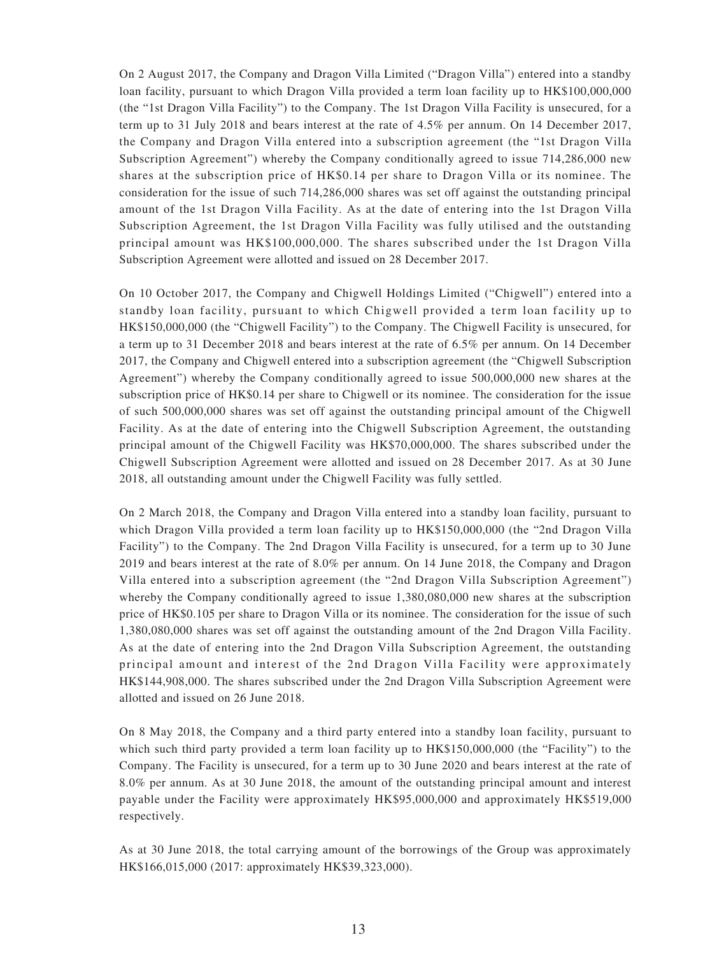On 2 August 2017, the Company and Dragon Villa Limited ("Dragon Villa") entered into a standby loan facility, pursuant to which Dragon Villa provided a term loan facility up to HK\$100,000,000 (the "1st Dragon Villa Facility") to the Company. The 1st Dragon Villa Facility is unsecured, for a term up to 31 July 2018 and bears interest at the rate of 4.5% per annum. On 14 December 2017, the Company and Dragon Villa entered into a subscription agreement (the "1st Dragon Villa Subscription Agreement") whereby the Company conditionally agreed to issue 714,286,000 new shares at the subscription price of HK\$0.14 per share to Dragon Villa or its nominee. The consideration for the issue of such 714,286,000 shares was set off against the outstanding principal amount of the 1st Dragon Villa Facility. As at the date of entering into the 1st Dragon Villa Subscription Agreement, the 1st Dragon Villa Facility was fully utilised and the outstanding principal amount was HK\$100,000,000. The shares subscribed under the 1st Dragon Villa Subscription Agreement were allotted and issued on 28 December 2017.

On 10 October 2017, the Company and Chigwell Holdings Limited ("Chigwell") entered into a standby loan facility, pursuant to which Chigwell provided a term loan facility up to HK\$150,000,000 (the "Chigwell Facility") to the Company. The Chigwell Facility is unsecured, for a term up to 31 December 2018 and bears interest at the rate of 6.5% per annum. On 14 December 2017, the Company and Chigwell entered into a subscription agreement (the "Chigwell Subscription Agreement") whereby the Company conditionally agreed to issue 500,000,000 new shares at the subscription price of HK\$0.14 per share to Chigwell or its nominee. The consideration for the issue of such 500,000,000 shares was set off against the outstanding principal amount of the Chigwell Facility. As at the date of entering into the Chigwell Subscription Agreement, the outstanding principal amount of the Chigwell Facility was HK\$70,000,000. The shares subscribed under the Chigwell Subscription Agreement were allotted and issued on 28 December 2017. As at 30 June 2018, all outstanding amount under the Chigwell Facility was fully settled.

On 2 March 2018, the Company and Dragon Villa entered into a standby loan facility, pursuant to which Dragon Villa provided a term loan facility up to HK\$150,000,000 (the "2nd Dragon Villa Facility") to the Company. The 2nd Dragon Villa Facility is unsecured, for a term up to 30 June 2019 and bears interest at the rate of 8.0% per annum. On 14 June 2018, the Company and Dragon Villa entered into a subscription agreement (the "2nd Dragon Villa Subscription Agreement") whereby the Company conditionally agreed to issue 1,380,080,000 new shares at the subscription price of HK\$0.105 per share to Dragon Villa or its nominee. The consideration for the issue of such 1,380,080,000 shares was set off against the outstanding amount of the 2nd Dragon Villa Facility. As at the date of entering into the 2nd Dragon Villa Subscription Agreement, the outstanding principal amount and interest of the 2nd Dragon Villa Facility were approximately HK\$144,908,000. The shares subscribed under the 2nd Dragon Villa Subscription Agreement were allotted and issued on 26 June 2018.

On 8 May 2018, the Company and a third party entered into a standby loan facility, pursuant to which such third party provided a term loan facility up to  $HK$150,000,000$  (the "Facility") to the Company. The Facility is unsecured, for a term up to 30 June 2020 and bears interest at the rate of 8.0% per annum. As at 30 June 2018, the amount of the outstanding principal amount and interest payable under the Facility were approximately HK\$95,000,000 and approximately HK\$519,000 respectively.

As at 30 June 2018, the total carrying amount of the borrowings of the Group was approximately HK\$166,015,000 (2017: approximately HK\$39,323,000).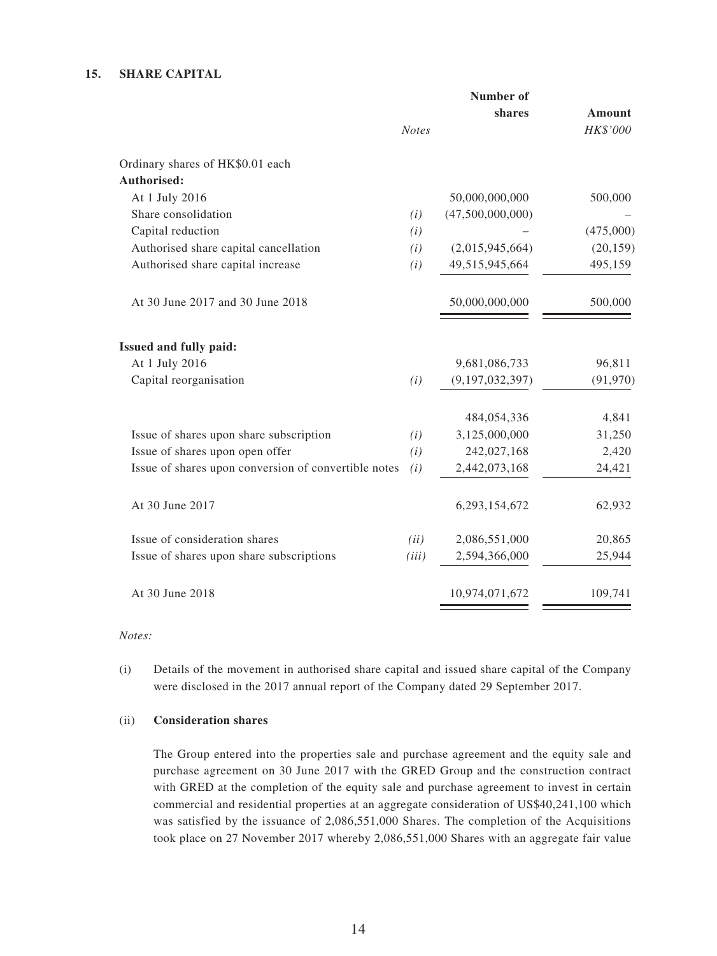### **15. SHARE CAPITAL**

|                                                      | <b>Number of</b> |                  |               |
|------------------------------------------------------|------------------|------------------|---------------|
|                                                      |                  | shares           | <b>Amount</b> |
|                                                      | <b>Notes</b>     |                  | HK\$'000      |
| Ordinary shares of HK\$0.01 each                     |                  |                  |               |
| Authorised:                                          |                  |                  |               |
| At 1 July 2016                                       |                  | 50,000,000,000   | 500,000       |
| Share consolidation                                  | (i)              | (47,500,000,000) |               |
| Capital reduction                                    | (i)              |                  | (475,000)     |
| Authorised share capital cancellation                | (i)              | (2,015,945,664)  | (20, 159)     |
| Authorised share capital increase                    | (i)              | 49,515,945,664   | 495,159       |
| At 30 June 2017 and 30 June 2018                     |                  | 50,000,000,000   | 500,000       |
| Issued and fully paid:                               |                  |                  |               |
| At 1 July 2016                                       |                  | 9,681,086,733    | 96,811        |
| Capital reorganisation                               | (i)              | (9,197,032,397)  | (91, 970)     |
|                                                      |                  | 484,054,336      | 4,841         |
| Issue of shares upon share subscription              | (i)              | 3,125,000,000    | 31,250        |
| Issue of shares upon open offer                      | (i)              | 242,027,168      | 2,420         |
| Issue of shares upon conversion of convertible notes | (i)              | 2,442,073,168    | 24,421        |
| At 30 June 2017                                      |                  | 6,293,154,672    | 62,932        |
| Issue of consideration shares                        | (ii)             | 2,086,551,000    | 20,865        |
| Issue of shares upon share subscriptions             | (iii)            | 2,594,366,000    | 25,944        |
| At 30 June 2018                                      |                  | 10,974,071,672   | 109,741       |

*Notes:*

(i) Details of the movement in authorised share capital and issued share capital of the Company were disclosed in the 2017 annual report of the Company dated 29 September 2017.

#### (ii) **Consideration shares**

The Group entered into the properties sale and purchase agreement and the equity sale and purchase agreement on 30 June 2017 with the GRED Group and the construction contract with GRED at the completion of the equity sale and purchase agreement to invest in certain commercial and residential properties at an aggregate consideration of US\$40,241,100 which was satisfied by the issuance of 2,086,551,000 Shares. The completion of the Acquisitions took place on 27 November 2017 whereby 2,086,551,000 Shares with an aggregate fair value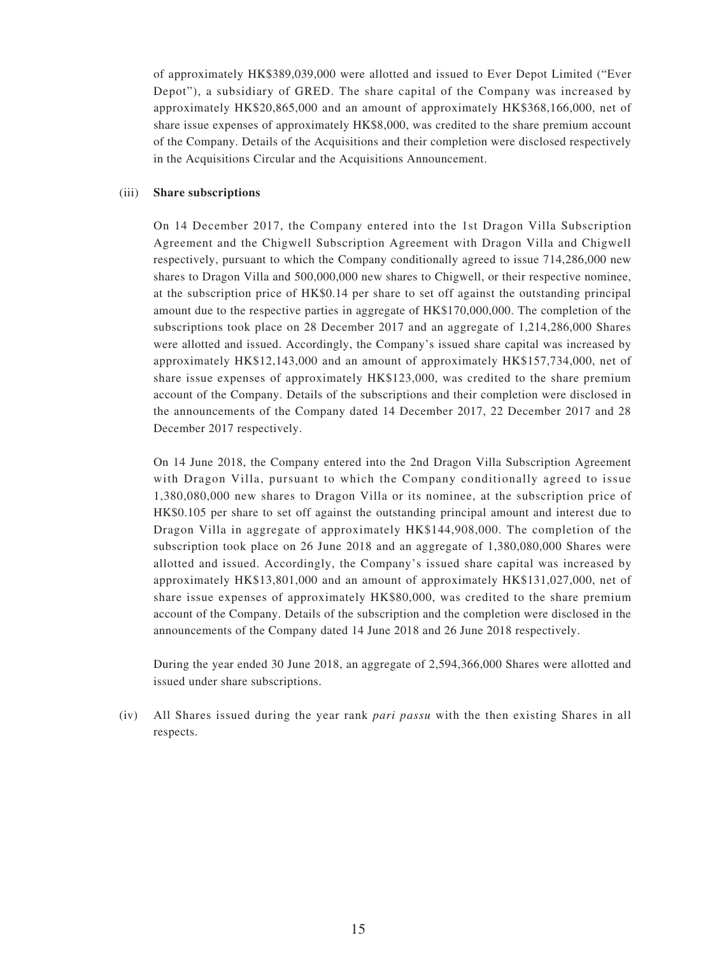of approximately HK\$389,039,000 were allotted and issued to Ever Depot Limited ("Ever Depot"), a subsidiary of GRED. The share capital of the Company was increased by approximately HK\$20,865,000 and an amount of approximately HK\$368,166,000, net of share issue expenses of approximately HK\$8,000, was credited to the share premium account of the Company. Details of the Acquisitions and their completion were disclosed respectively in the Acquisitions Circular and the Acquisitions Announcement.

#### (iii) **Share subscriptions**

On 14 December 2017, the Company entered into the 1st Dragon Villa Subscription Agreement and the Chigwell Subscription Agreement with Dragon Villa and Chigwell respectively, pursuant to which the Company conditionally agreed to issue 714,286,000 new shares to Dragon Villa and 500,000,000 new shares to Chigwell, or their respective nominee, at the subscription price of HK\$0.14 per share to set off against the outstanding principal amount due to the respective parties in aggregate of HK\$170,000,000. The completion of the subscriptions took place on 28 December 2017 and an aggregate of 1,214,286,000 Shares were allotted and issued. Accordingly, the Company's issued share capital was increased by approximately HK\$12,143,000 and an amount of approximately HK\$157,734,000, net of share issue expenses of approximately HK\$123,000, was credited to the share premium account of the Company. Details of the subscriptions and their completion were disclosed in the announcements of the Company dated 14 December 2017, 22 December 2017 and 28 December 2017 respectively.

On 14 June 2018, the Company entered into the 2nd Dragon Villa Subscription Agreement with Dragon Villa, pursuant to which the Company conditionally agreed to issue 1,380,080,000 new shares to Dragon Villa or its nominee, at the subscription price of HK\$0.105 per share to set off against the outstanding principal amount and interest due to Dragon Villa in aggregate of approximately HK\$144,908,000. The completion of the subscription took place on 26 June 2018 and an aggregate of 1,380,080,000 Shares were allotted and issued. Accordingly, the Company's issued share capital was increased by approximately HK\$13,801,000 and an amount of approximately HK\$131,027,000, net of share issue expenses of approximately HK\$80,000, was credited to the share premium account of the Company. Details of the subscription and the completion were disclosed in the announcements of the Company dated 14 June 2018 and 26 June 2018 respectively.

During the year ended 30 June 2018, an aggregate of 2,594,366,000 Shares were allotted and issued under share subscriptions.

(iv) All Shares issued during the year rank *pari passu* with the then existing Shares in all respects.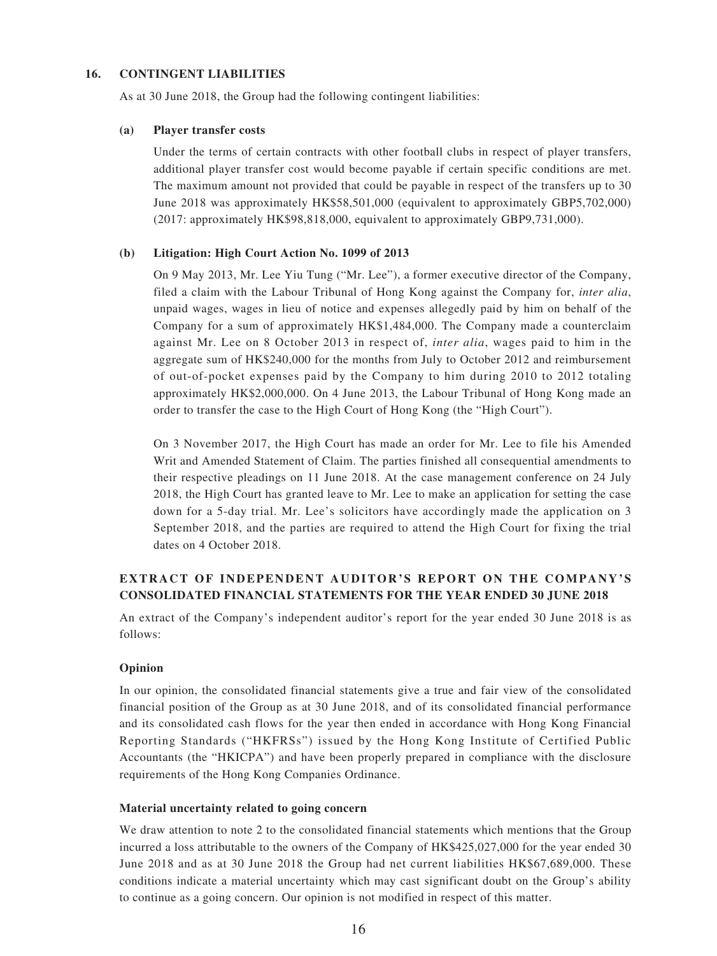#### **16. CONTINGENT LIABILITIES**

As at 30 June 2018, the Group had the following contingent liabilities:

#### **(a) Player transfer costs**

Under the terms of certain contracts with other football clubs in respect of player transfers, additional player transfer cost would become payable if certain specific conditions are met. The maximum amount not provided that could be payable in respect of the transfers up to 30 June 2018 was approximately HK\$58,501,000 (equivalent to approximately GBP5,702,000) (2017: approximately HK\$98,818,000, equivalent to approximately GBP9,731,000).

#### **(b) Litigation: High Court Action No. 1099 of 2013**

On 9 May 2013, Mr. Lee Yiu Tung ("Mr. Lee"), a former executive director of the Company, filed a claim with the Labour Tribunal of Hong Kong against the Company for, *inter alia*, unpaid wages, wages in lieu of notice and expenses allegedly paid by him on behalf of the Company for a sum of approximately HK\$1,484,000. The Company made a counterclaim against Mr. Lee on 8 October 2013 in respect of, *inter alia*, wages paid to him in the aggregate sum of HK\$240,000 for the months from July to October 2012 and reimbursement of out-of-pocket expenses paid by the Company to him during 2010 to 2012 totaling approximately HK\$2,000,000. On 4 June 2013, the Labour Tribunal of Hong Kong made an order to transfer the case to the High Court of Hong Kong (the "High Court").

On 3 November 2017, the High Court has made an order for Mr. Lee to file his Amended Writ and Amended Statement of Claim. The parties finished all consequential amendments to their respective pleadings on 11 June 2018. At the case management conference on 24 July 2018, the High Court has granted leave to Mr. Lee to make an application for setting the case down for a 5-day trial. Mr. Lee's solicitors have accordingly made the application on 3 September 2018, and the parties are required to attend the High Court for fixing the trial dates on 4 October 2018.

### **EXTRACT OF INDEPENDENT AUDITOR'S REPORT ON THE COMPANY'S CONSOLIDATED FINANCIAL STATEMENTS FOR THE YEAR ENDED 30 JUNE 2018**

An extract of the Company's independent auditor's report for the year ended 30 June 2018 is as follows:

#### **Opinion**

In our opinion, the consolidated financial statements give a true and fair view of the consolidated financial position of the Group as at 30 June 2018, and of its consolidated financial performance and its consolidated cash flows for the year then ended in accordance with Hong Kong Financial Reporting Standards ("HKFRSs") issued by the Hong Kong Institute of Certified Public Accountants (the "HKICPA") and have been properly prepared in compliance with the disclosure requirements of the Hong Kong Companies Ordinance.

#### **Material uncertainty related to going concern**

We draw attention to note 2 to the consolidated financial statements which mentions that the Group incurred a loss attributable to the owners of the Company of HK\$425,027,000 for the year ended 30 June 2018 and as at 30 June 2018 the Group had net current liabilities HK\$67,689,000. These conditions indicate a material uncertainty which may cast significant doubt on the Group's ability to continue as a going concern. Our opinion is not modified in respect of this matter.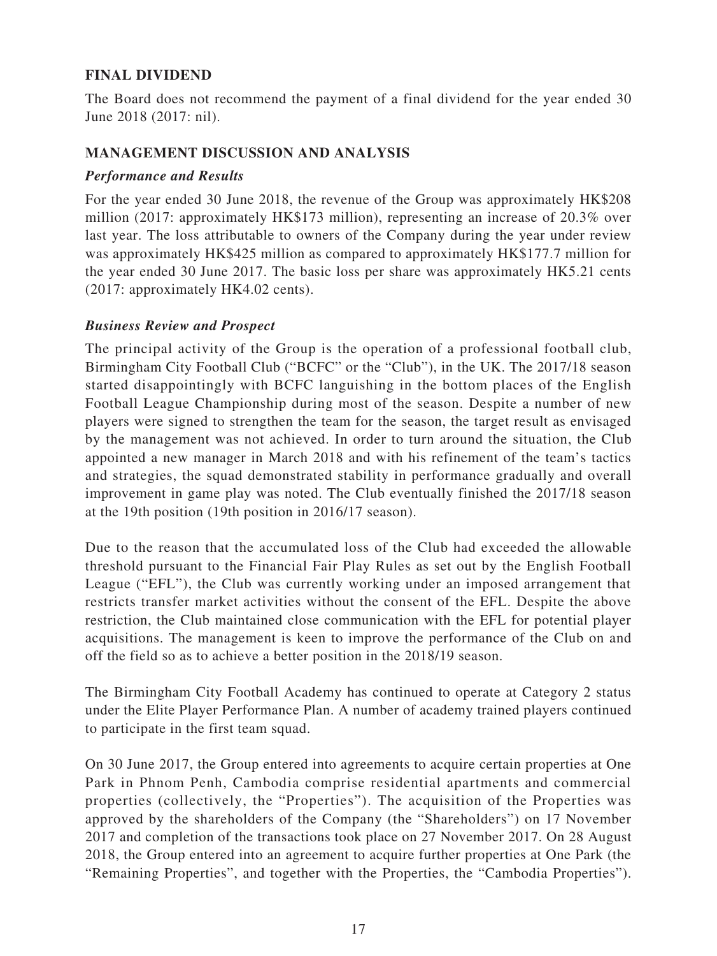## **FINAL DIVIDEND**

The Board does not recommend the payment of a final dividend for the year ended 30 June 2018 (2017: nil).

### **MANAGEMENT DISCUSSION AND ANALYSIS**

### *Performance and Results*

For the year ended 30 June 2018, the revenue of the Group was approximately HK\$208 million (2017: approximately HK\$173 million), representing an increase of 20.3% over last year. The loss attributable to owners of the Company during the year under review was approximately HK\$425 million as compared to approximately HK\$177.7 million for the year ended 30 June 2017. The basic loss per share was approximately HK5.21 cents (2017: approximately HK4.02 cents).

### *Business Review and Prospect*

The principal activity of the Group is the operation of a professional football club, Birmingham City Football Club ("BCFC" or the "Club"), in the UK. The 2017/18 season started disappointingly with BCFC languishing in the bottom places of the English Football League Championship during most of the season. Despite a number of new players were signed to strengthen the team for the season, the target result as envisaged by the management was not achieved. In order to turn around the situation, the Club appointed a new manager in March 2018 and with his refinement of the team's tactics and strategies, the squad demonstrated stability in performance gradually and overall improvement in game play was noted. The Club eventually finished the 2017/18 season at the 19th position (19th position in 2016/17 season).

Due to the reason that the accumulated loss of the Club had exceeded the allowable threshold pursuant to the Financial Fair Play Rules as set out by the English Football League ("EFL"), the Club was currently working under an imposed arrangement that restricts transfer market activities without the consent of the EFL. Despite the above restriction, the Club maintained close communication with the EFL for potential player acquisitions. The management is keen to improve the performance of the Club on and off the field so as to achieve a better position in the 2018/19 season.

The Birmingham City Football Academy has continued to operate at Category 2 status under the Elite Player Performance Plan. A number of academy trained players continued to participate in the first team squad.

On 30 June 2017, the Group entered into agreements to acquire certain properties at One Park in Phnom Penh, Cambodia comprise residential apartments and commercial properties (collectively, the "Properties"). The acquisition of the Properties was approved by the shareholders of the Company (the "Shareholders") on 17 November 2017 and completion of the transactions took place on 27 November 2017. On 28 August 2018, the Group entered into an agreement to acquire further properties at One Park (the "Remaining Properties", and together with the Properties, the "Cambodia Properties").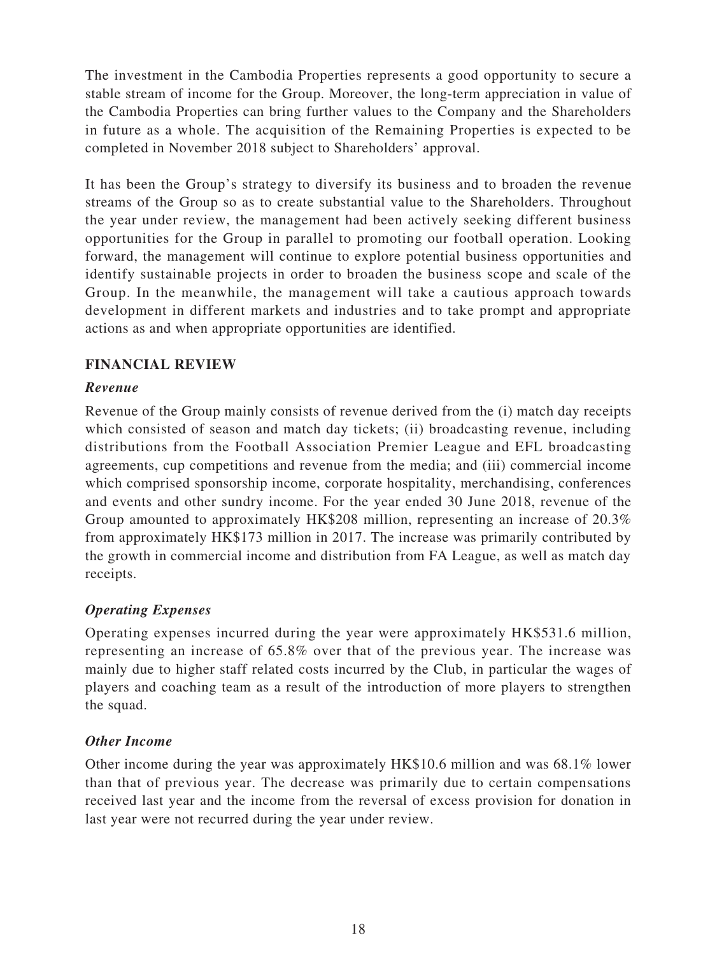The investment in the Cambodia Properties represents a good opportunity to secure a stable stream of income for the Group. Moreover, the long-term appreciation in value of the Cambodia Properties can bring further values to the Company and the Shareholders in future as a whole. The acquisition of the Remaining Properties is expected to be completed in November 2018 subject to Shareholders' approval.

It has been the Group's strategy to diversify its business and to broaden the revenue streams of the Group so as to create substantial value to the Shareholders. Throughout the year under review, the management had been actively seeking different business opportunities for the Group in parallel to promoting our football operation. Looking forward, the management will continue to explore potential business opportunities and identify sustainable projects in order to broaden the business scope and scale of the Group. In the meanwhile, the management will take a cautious approach towards development in different markets and industries and to take prompt and appropriate actions as and when appropriate opportunities are identified.

## **FINANCIAL REVIEW**

## *Revenue*

Revenue of the Group mainly consists of revenue derived from the (i) match day receipts which consisted of season and match day tickets; (ii) broadcasting revenue, including distributions from the Football Association Premier League and EFL broadcasting agreements, cup competitions and revenue from the media; and (iii) commercial income which comprised sponsorship income, corporate hospitality, merchandising, conferences and events and other sundry income. For the year ended 30 June 2018, revenue of the Group amounted to approximately HK\$208 million, representing an increase of 20.3% from approximately HK\$173 million in 2017. The increase was primarily contributed by the growth in commercial income and distribution from FA League, as well as match day receipts.

## *Operating Expenses*

Operating expenses incurred during the year were approximately HK\$531.6 million, representing an increase of 65.8% over that of the previous year. The increase was mainly due to higher staff related costs incurred by the Club, in particular the wages of players and coaching team as a result of the introduction of more players to strengthen the squad.

## *Other Income*

Other income during the year was approximately HK\$10.6 million and was 68.1% lower than that of previous year. The decrease was primarily due to certain compensations received last year and the income from the reversal of excess provision for donation in last year were not recurred during the year under review.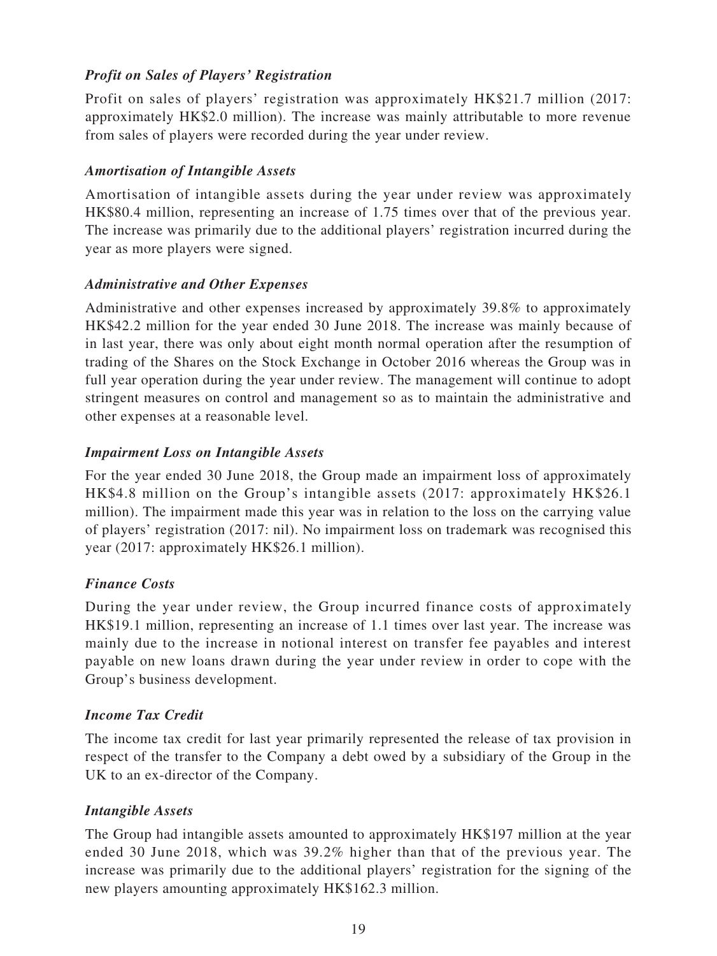## *Profit on Sales of Players' Registration*

Profit on sales of players' registration was approximately HK\$21.7 million (2017: approximately HK\$2.0 million). The increase was mainly attributable to more revenue from sales of players were recorded during the year under review.

### *Amortisation of Intangible Assets*

Amortisation of intangible assets during the year under review was approximately HK\$80.4 million, representing an increase of 1.75 times over that of the previous year. The increase was primarily due to the additional players' registration incurred during the year as more players were signed.

### *Administrative and Other Expenses*

Administrative and other expenses increased by approximately 39.8% to approximately HK\$42.2 million for the year ended 30 June 2018. The increase was mainly because of in last year, there was only about eight month normal operation after the resumption of trading of the Shares on the Stock Exchange in October 2016 whereas the Group was in full year operation during the year under review. The management will continue to adopt stringent measures on control and management so as to maintain the administrative and other expenses at a reasonable level.

### *Impairment Loss on Intangible Assets*

For the year ended 30 June 2018, the Group made an impairment loss of approximately HK\$4.8 million on the Group's intangible assets (2017: approximately HK\$26.1 million). The impairment made this year was in relation to the loss on the carrying value of players' registration (2017: nil). No impairment loss on trademark was recognised this year (2017: approximately HK\$26.1 million).

## *Finance Costs*

During the year under review, the Group incurred finance costs of approximately HK\$19.1 million, representing an increase of 1.1 times over last year. The increase was mainly due to the increase in notional interest on transfer fee payables and interest payable on new loans drawn during the year under review in order to cope with the Group's business development.

## *Income Tax Credit*

The income tax credit for last year primarily represented the release of tax provision in respect of the transfer to the Company a debt owed by a subsidiary of the Group in the UK to an ex-director of the Company.

### *Intangible Assets*

The Group had intangible assets amounted to approximately HK\$197 million at the year ended 30 June 2018, which was 39.2% higher than that of the previous year. The increase was primarily due to the additional players' registration for the signing of the new players amounting approximately HK\$162.3 million.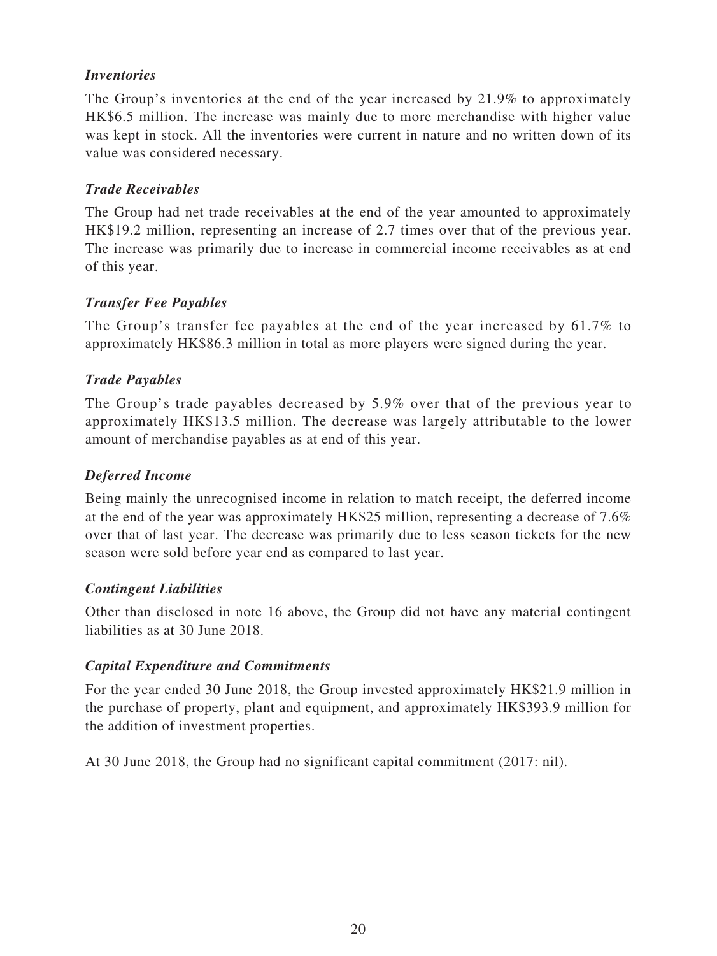## *Inventories*

The Group's inventories at the end of the year increased by 21.9% to approximately HK\$6.5 million. The increase was mainly due to more merchandise with higher value was kept in stock. All the inventories were current in nature and no written down of its value was considered necessary.

### *Trade Receivables*

The Group had net trade receivables at the end of the year amounted to approximately HK\$19.2 million, representing an increase of 2.7 times over that of the previous year. The increase was primarily due to increase in commercial income receivables as at end of this year.

## *Transfer Fee Payables*

The Group's transfer fee payables at the end of the year increased by 61.7% to approximately HK\$86.3 million in total as more players were signed during the year.

### *Trade Payables*

The Group's trade payables decreased by 5.9% over that of the previous year to approximately HK\$13.5 million. The decrease was largely attributable to the lower amount of merchandise payables as at end of this year.

### *Deferred Income*

Being mainly the unrecognised income in relation to match receipt, the deferred income at the end of the year was approximately HK\$25 million, representing a decrease of 7.6% over that of last year. The decrease was primarily due to less season tickets for the new season were sold before year end as compared to last year.

### *Contingent Liabilities*

Other than disclosed in note 16 above, the Group did not have any material contingent liabilities as at 30 June 2018.

### *Capital Expenditure and Commitments*

For the year ended 30 June 2018, the Group invested approximately HK\$21.9 million in the purchase of property, plant and equipment, and approximately HK\$393.9 million for the addition of investment properties.

At 30 June 2018, the Group had no significant capital commitment (2017: nil).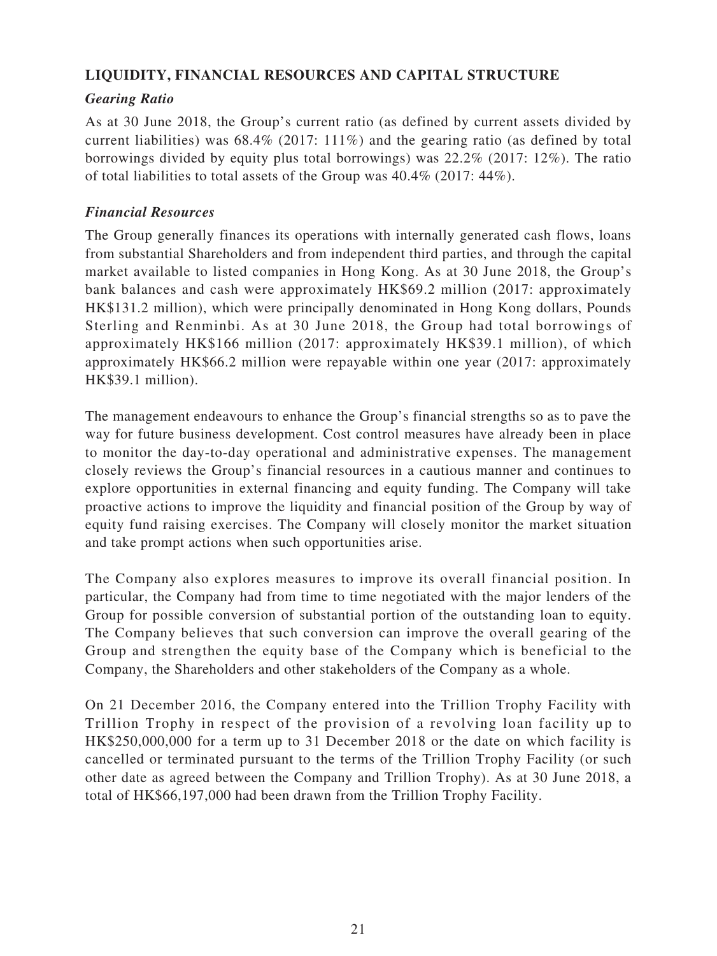## **LIQUIDITY, FINANCIAL RESOURCES AND CAPITAL STRUCTURE**

## *Gearing Ratio*

As at 30 June 2018, the Group's current ratio (as defined by current assets divided by current liabilities) was 68.4% (2017: 111%) and the gearing ratio (as defined by total borrowings divided by equity plus total borrowings) was 22.2% (2017: 12%). The ratio of total liabilities to total assets of the Group was 40.4% (2017: 44%).

## *Financial Resources*

The Group generally finances its operations with internally generated cash flows, loans from substantial Shareholders and from independent third parties, and through the capital market available to listed companies in Hong Kong. As at 30 June 2018, the Group's bank balances and cash were approximately HK\$69.2 million (2017: approximately HK\$131.2 million), which were principally denominated in Hong Kong dollars, Pounds Sterling and Renminbi. As at 30 June 2018, the Group had total borrowings of approximately HK\$166 million (2017: approximately HK\$39.1 million), of which approximately HK\$66.2 million were repayable within one year (2017: approximately HK\$39.1 million).

The management endeavours to enhance the Group's financial strengths so as to pave the way for future business development. Cost control measures have already been in place to monitor the day-to-day operational and administrative expenses. The management closely reviews the Group's financial resources in a cautious manner and continues to explore opportunities in external financing and equity funding. The Company will take proactive actions to improve the liquidity and financial position of the Group by way of equity fund raising exercises. The Company will closely monitor the market situation and take prompt actions when such opportunities arise.

The Company also explores measures to improve its overall financial position. In particular, the Company had from time to time negotiated with the major lenders of the Group for possible conversion of substantial portion of the outstanding loan to equity. The Company believes that such conversion can improve the overall gearing of the Group and strengthen the equity base of the Company which is beneficial to the Company, the Shareholders and other stakeholders of the Company as a whole.

On 21 December 2016, the Company entered into the Trillion Trophy Facility with Trillion Trophy in respect of the provision of a revolving loan facility up to HK\$250,000,000 for a term up to 31 December 2018 or the date on which facility is cancelled or terminated pursuant to the terms of the Trillion Trophy Facility (or such other date as agreed between the Company and Trillion Trophy). As at 30 June 2018, a total of HK\$66,197,000 had been drawn from the Trillion Trophy Facility.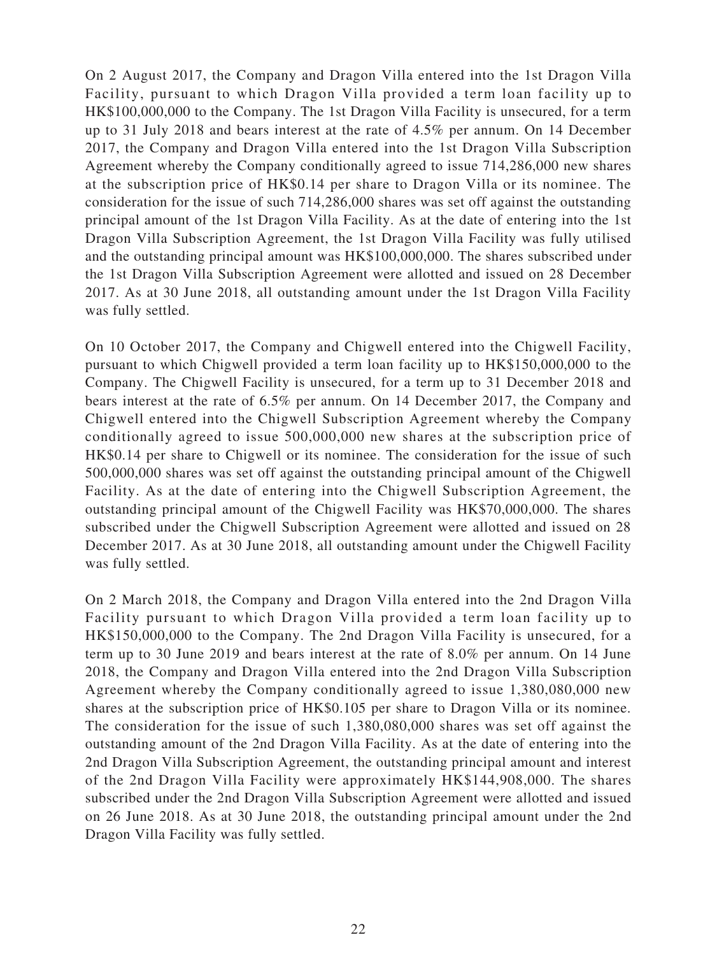On 2 August 2017, the Company and Dragon Villa entered into the 1st Dragon Villa Facility, pursuant to which Dragon Villa provided a term loan facility up to HK\$100,000,000 to the Company. The 1st Dragon Villa Facility is unsecured, for a term up to 31 July 2018 and bears interest at the rate of 4.5% per annum. On 14 December 2017, the Company and Dragon Villa entered into the 1st Dragon Villa Subscription Agreement whereby the Company conditionally agreed to issue 714,286,000 new shares at the subscription price of HK\$0.14 per share to Dragon Villa or its nominee. The consideration for the issue of such 714,286,000 shares was set off against the outstanding principal amount of the 1st Dragon Villa Facility. As at the date of entering into the 1st Dragon Villa Subscription Agreement, the 1st Dragon Villa Facility was fully utilised and the outstanding principal amount was HK\$100,000,000. The shares subscribed under the 1st Dragon Villa Subscription Agreement were allotted and issued on 28 December 2017. As at 30 June 2018, all outstanding amount under the 1st Dragon Villa Facility was fully settled.

On 10 October 2017, the Company and Chigwell entered into the Chigwell Facility, pursuant to which Chigwell provided a term loan facility up to HK\$150,000,000 to the Company. The Chigwell Facility is unsecured, for a term up to 31 December 2018 and bears interest at the rate of 6.5% per annum. On 14 December 2017, the Company and Chigwell entered into the Chigwell Subscription Agreement whereby the Company conditionally agreed to issue 500,000,000 new shares at the subscription price of HK\$0.14 per share to Chigwell or its nominee. The consideration for the issue of such 500,000,000 shares was set off against the outstanding principal amount of the Chigwell Facility. As at the date of entering into the Chigwell Subscription Agreement, the outstanding principal amount of the Chigwell Facility was HK\$70,000,000. The shares subscribed under the Chigwell Subscription Agreement were allotted and issued on 28 December 2017. As at 30 June 2018, all outstanding amount under the Chigwell Facility was fully settled.

On 2 March 2018, the Company and Dragon Villa entered into the 2nd Dragon Villa Facility pursuant to which Dragon Villa provided a term loan facility up to HK\$150,000,000 to the Company. The 2nd Dragon Villa Facility is unsecured, for a term up to 30 June 2019 and bears interest at the rate of 8.0% per annum. On 14 June 2018, the Company and Dragon Villa entered into the 2nd Dragon Villa Subscription Agreement whereby the Company conditionally agreed to issue 1,380,080,000 new shares at the subscription price of HK\$0.105 per share to Dragon Villa or its nominee. The consideration for the issue of such 1,380,080,000 shares was set off against the outstanding amount of the 2nd Dragon Villa Facility. As at the date of entering into the 2nd Dragon Villa Subscription Agreement, the outstanding principal amount and interest of the 2nd Dragon Villa Facility were approximately HK\$144,908,000. The shares subscribed under the 2nd Dragon Villa Subscription Agreement were allotted and issued on 26 June 2018. As at 30 June 2018, the outstanding principal amount under the 2nd Dragon Villa Facility was fully settled.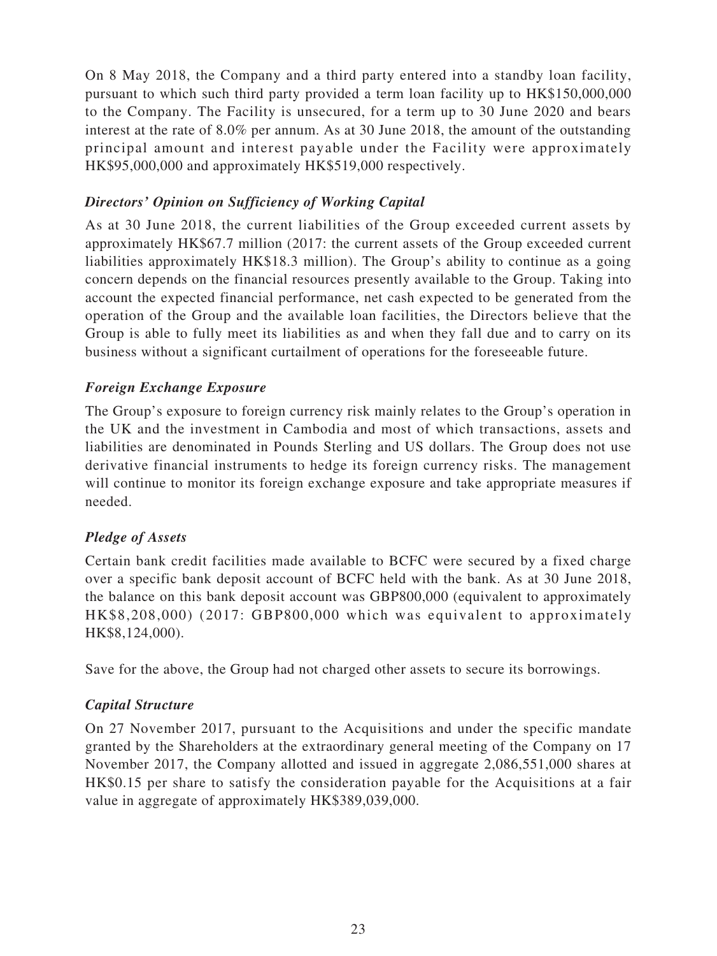On 8 May 2018, the Company and a third party entered into a standby loan facility, pursuant to which such third party provided a term loan facility up to HK\$150,000,000 to the Company. The Facility is unsecured, for a term up to 30 June 2020 and bears interest at the rate of 8.0% per annum. As at 30 June 2018, the amount of the outstanding principal amount and interest payable under the Facility were approximately HK\$95,000,000 and approximately HK\$519,000 respectively.

## *Directors' Opinion on Sufficiency of Working Capital*

As at 30 June 2018, the current liabilities of the Group exceeded current assets by approximately HK\$67.7 million (2017: the current assets of the Group exceeded current liabilities approximately HK\$18.3 million). The Group's ability to continue as a going concern depends on the financial resources presently available to the Group. Taking into account the expected financial performance, net cash expected to be generated from the operation of the Group and the available loan facilities, the Directors believe that the Group is able to fully meet its liabilities as and when they fall due and to carry on its business without a significant curtailment of operations for the foreseeable future.

## *Foreign Exchange Exposure*

The Group's exposure to foreign currency risk mainly relates to the Group's operation in the UK and the investment in Cambodia and most of which transactions, assets and liabilities are denominated in Pounds Sterling and US dollars. The Group does not use derivative financial instruments to hedge its foreign currency risks. The management will continue to monitor its foreign exchange exposure and take appropriate measures if needed.

## *Pledge of Assets*

Certain bank credit facilities made available to BCFC were secured by a fixed charge over a specific bank deposit account of BCFC held with the bank. As at 30 June 2018, the balance on this bank deposit account was GBP800,000 (equivalent to approximately HK\$8,208,000) (2017: GBP800,000 which was equivalent to approximately HK\$8,124,000).

Save for the above, the Group had not charged other assets to secure its borrowings.

## *Capital Structure*

On 27 November 2017, pursuant to the Acquisitions and under the specific mandate granted by the Shareholders at the extraordinary general meeting of the Company on 17 November 2017, the Company allotted and issued in aggregate 2,086,551,000 shares at HK\$0.15 per share to satisfy the consideration payable for the Acquisitions at a fair value in aggregate of approximately HK\$389,039,000.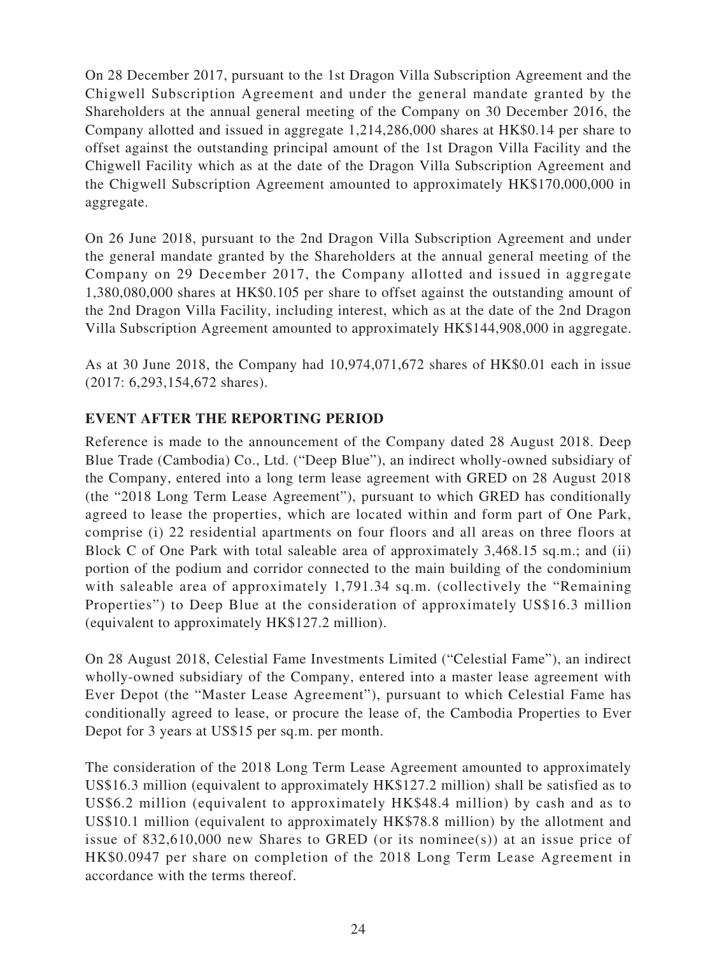On 28 December 2017, pursuant to the 1st Dragon Villa Subscription Agreement and the Chigwell Subscription Agreement and under the general mandate granted by the Shareholders at the annual general meeting of the Company on 30 December 2016, the Company allotted and issued in aggregate 1,214,286,000 shares at HK\$0.14 per share to offset against the outstanding principal amount of the 1st Dragon Villa Facility and the Chigwell Facility which as at the date of the Dragon Villa Subscription Agreement and the Chigwell Subscription Agreement amounted to approximately HK\$170,000,000 in aggregate.

On 26 June 2018, pursuant to the 2nd Dragon Villa Subscription Agreement and under the general mandate granted by the Shareholders at the annual general meeting of the Company on 29 December 2017, the Company allotted and issued in aggregate 1,380,080,000 shares at HK\$0.105 per share to offset against the outstanding amount of the 2nd Dragon Villa Facility, including interest, which as at the date of the 2nd Dragon Villa Subscription Agreement amounted to approximately HK\$144,908,000 in aggregate.

As at 30 June 2018, the Company had 10,974,071,672 shares of HK\$0.01 each in issue (2017: 6,293,154,672 shares).

## **EVENT AFTER THE REPORTING PERIOD**

Reference is made to the announcement of the Company dated 28 August 2018. Deep Blue Trade (Cambodia) Co., Ltd. ("Deep Blue"), an indirect wholly-owned subsidiary of the Company, entered into a long term lease agreement with GRED on 28 August 2018 (the "2018 Long Term Lease Agreement"), pursuant to which GRED has conditionally agreed to lease the properties, which are located within and form part of One Park, comprise (i) 22 residential apartments on four floors and all areas on three floors at Block C of One Park with total saleable area of approximately 3,468.15 sq.m.; and (ii) portion of the podium and corridor connected to the main building of the condominium with saleable area of approximately 1,791.34 sq.m. (collectively the "Remaining Properties") to Deep Blue at the consideration of approximately US\$16.3 million (equivalent to approximately HK\$127.2 million).

On 28 August 2018, Celestial Fame Investments Limited ("Celestial Fame"), an indirect wholly-owned subsidiary of the Company, entered into a master lease agreement with Ever Depot (the "Master Lease Agreement"), pursuant to which Celestial Fame has conditionally agreed to lease, or procure the lease of, the Cambodia Properties to Ever Depot for 3 years at US\$15 per sq.m. per month.

The consideration of the 2018 Long Term Lease Agreement amounted to approximately US\$16.3 million (equivalent to approximately HK\$127.2 million) shall be satisfied as to US\$6.2 million (equivalent to approximately HK\$48.4 million) by cash and as to US\$10.1 million (equivalent to approximately HK\$78.8 million) by the allotment and issue of  $832,610,000$  new Shares to GRED (or its nominee(s)) at an issue price of HK\$0.0947 per share on completion of the 2018 Long Term Lease Agreement in accordance with the terms thereof.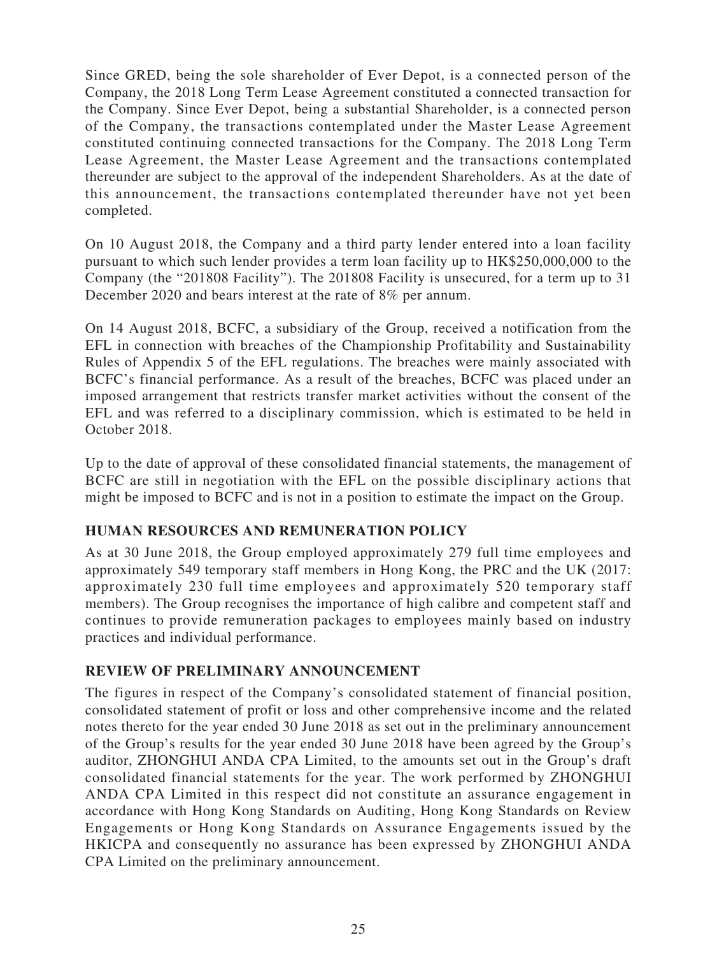Since GRED, being the sole shareholder of Ever Depot, is a connected person of the Company, the 2018 Long Term Lease Agreement constituted a connected transaction for the Company. Since Ever Depot, being a substantial Shareholder, is a connected person of the Company, the transactions contemplated under the Master Lease Agreement constituted continuing connected transactions for the Company. The 2018 Long Term Lease Agreement, the Master Lease Agreement and the transactions contemplated thereunder are subject to the approval of the independent Shareholders. As at the date of this announcement, the transactions contemplated thereunder have not yet been completed.

On 10 August 2018, the Company and a third party lender entered into a loan facility pursuant to which such lender provides a term loan facility up to HK\$250,000,000 to the Company (the "201808 Facility"). The 201808 Facility is unsecured, for a term up to 31 December 2020 and bears interest at the rate of 8% per annum.

On 14 August 2018, BCFC, a subsidiary of the Group, received a notification from the EFL in connection with breaches of the Championship Profitability and Sustainability Rules of Appendix 5 of the EFL regulations. The breaches were mainly associated with BCFC's financial performance. As a result of the breaches, BCFC was placed under an imposed arrangement that restricts transfer market activities without the consent of the EFL and was referred to a disciplinary commission, which is estimated to be held in October 2018.

Up to the date of approval of these consolidated financial statements, the management of BCFC are still in negotiation with the EFL on the possible disciplinary actions that might be imposed to BCFC and is not in a position to estimate the impact on the Group.

## **HUMAN RESOURCES AND REMUNERATION POLICY**

As at 30 June 2018, the Group employed approximately 279 full time employees and approximately 549 temporary staff members in Hong Kong, the PRC and the UK (2017: approximately 230 full time employees and approximately 520 temporary staff members). The Group recognises the importance of high calibre and competent staff and continues to provide remuneration packages to employees mainly based on industry practices and individual performance.

## **REVIEW OF PRELIMINARY ANNOUNCEMENT**

The figures in respect of the Company's consolidated statement of financial position, consolidated statement of profit or loss and other comprehensive income and the related notes thereto for the year ended 30 June 2018 as set out in the preliminary announcement of the Group's results for the year ended 30 June 2018 have been agreed by the Group's auditor, ZHONGHUI ANDA CPA Limited, to the amounts set out in the Group's draft consolidated financial statements for the year. The work performed by ZHONGHUI ANDA CPA Limited in this respect did not constitute an assurance engagement in accordance with Hong Kong Standards on Auditing, Hong Kong Standards on Review Engagements or Hong Kong Standards on Assurance Engagements issued by the HKICPA and consequently no assurance has been expressed by ZHONGHUI ANDA CPA Limited on the preliminary announcement.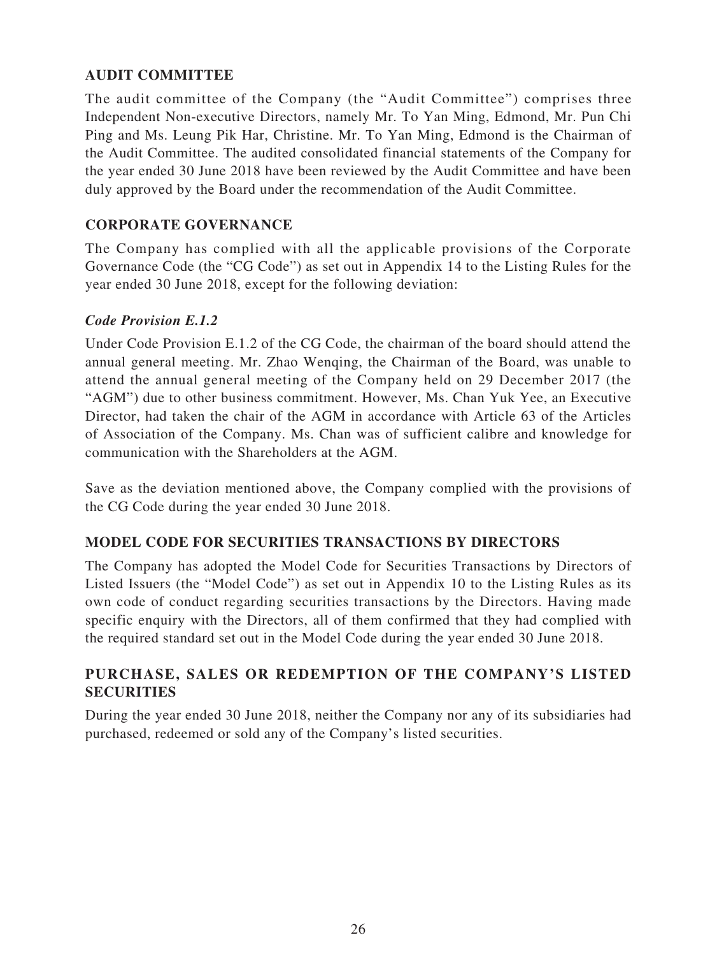## **AUDIT COMMITTEE**

The audit committee of the Company (the "Audit Committee") comprises three Independent Non-executive Directors, namely Mr. To Yan Ming, Edmond, Mr. Pun Chi Ping and Ms. Leung Pik Har, Christine. Mr. To Yan Ming, Edmond is the Chairman of the Audit Committee. The audited consolidated financial statements of the Company for the year ended 30 June 2018 have been reviewed by the Audit Committee and have been duly approved by the Board under the recommendation of the Audit Committee.

## **CORPORATE GOVERNANCE**

The Company has complied with all the applicable provisions of the Corporate Governance Code (the "CG Code") as set out in Appendix 14 to the Listing Rules for the year ended 30 June 2018, except for the following deviation:

### *Code Provision E.1.2*

Under Code Provision E.1.2 of the CG Code, the chairman of the board should attend the annual general meeting. Mr. Zhao Wenqing, the Chairman of the Board, was unable to attend the annual general meeting of the Company held on 29 December 2017 (the "AGM") due to other business commitment. However, Ms. Chan Yuk Yee, an Executive Director, had taken the chair of the AGM in accordance with Article 63 of the Articles of Association of the Company. Ms. Chan was of sufficient calibre and knowledge for communication with the Shareholders at the AGM.

Save as the deviation mentioned above, the Company complied with the provisions of the CG Code during the year ended 30 June 2018.

## **MODEL CODE FOR SECURITIES TRANSACTIONS BY DIRECTORS**

The Company has adopted the Model Code for Securities Transactions by Directors of Listed Issuers (the "Model Code") as set out in Appendix 10 to the Listing Rules as its own code of conduct regarding securities transactions by the Directors. Having made specific enquiry with the Directors, all of them confirmed that they had complied with the required standard set out in the Model Code during the year ended 30 June 2018.

## **PURCHASE, SALES OR REDEMPTION OF THE COMPANY'S LISTED SECURITIES**

During the year ended 30 June 2018, neither the Company nor any of its subsidiaries had purchased, redeemed or sold any of the Company's listed securities.